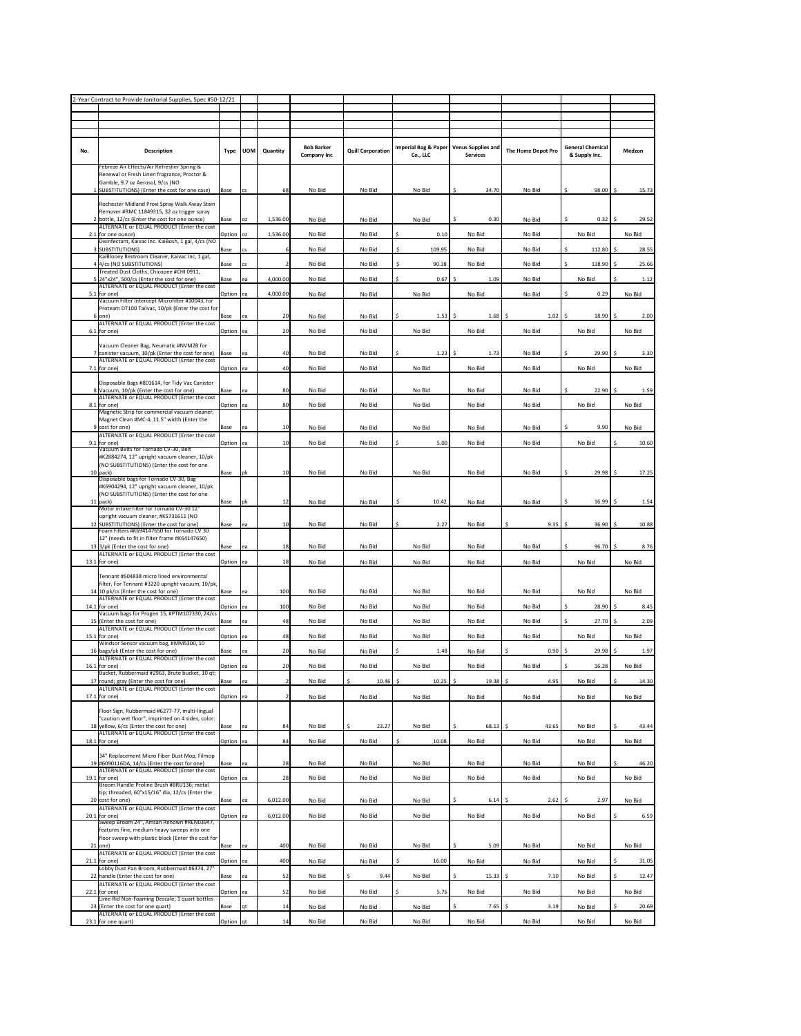|     | 2-Year Contract to Provide Janitorial Supplies, Spec #50-12/21                                                                                                                  |           |            |                |                                  |                          |                                             |                                              |                    |                                          |    |                |
|-----|---------------------------------------------------------------------------------------------------------------------------------------------------------------------------------|-----------|------------|----------------|----------------------------------|--------------------------|---------------------------------------------|----------------------------------------------|--------------------|------------------------------------------|----|----------------|
|     |                                                                                                                                                                                 |           |            |                |                                  |                          |                                             |                                              |                    |                                          |    |                |
|     |                                                                                                                                                                                 |           |            |                |                                  |                          |                                             |                                              |                    |                                          |    |                |
| No. | <b>Description</b>                                                                                                                                                              | Type      | <b>UOM</b> | Quantity       | <b>Bob Barker</b><br>Company Inc | <b>Quill Corporation</b> | <b>Imperial Bag &amp; Paper</b><br>Co., LLC | <b>Venus Supplies and</b><br><b>Services</b> | The Home Depot Pro | <b>General Chemical</b><br>& Supply Inc. |    | Medzon         |
|     | Febreze Air Effects/Air Refresher Spring &<br>Renewal or Fresh Linen fragrance, Proctor &<br>Gamble, 9.7 oz Aerosol, 9/cs (NO<br>1 SUBSTITUTIONS) (Enter the cost for one case) | Base      | cs         | 68             | No Bid                           | No Bid                   | No Bid                                      | Ŝ<br>34.70                                   | No Bid             | Š.<br>98.00                              | Ŝ  | 15.73          |
|     | Rochester Midland Proxi Spray Walk Away Stain<br>Remover #RMC 11849315, 32 oz trigger spray                                                                                     |           |            |                |                                  |                          |                                             |                                              |                    |                                          |    |                |
|     | bottle, 12/cs (Enter the cost for one ounce)<br>ALTERNATE or EQUAL PRODUCT (Enter the cost                                                                                      | Base      | oz         | 1,536.00       | No Bid                           | No Bid                   | No Bid                                      | Ś<br>0.30                                    | No Bid             | 0.32                                     | \$ | 29.52          |
|     | 2.1 for one ounce)<br>Disinfectant, Kaivac Inc. KaiBosh, 1 gal, 4/cs (NO                                                                                                        | Option    | oz         | 1,536.00       | No Bid                           | No Bid                   | Ś<br>0.10                                   | No Bid                                       | No Bid             | No Bid                                   |    | No Bid         |
|     | 3 SUBSTITUTIONS)<br>KaiBlooey Restroom Cleaner, Kaivac Inc, 1 gal,                                                                                                              | Base      | cs         | 6              | No Bid                           | No Bid                   | Ś<br>109.95                                 | No Bid                                       | No Bid             | 112.80                                   | Ś  | 28.55          |
|     | 4 4/cs (NO SUBSTITUTIONS)<br>Treated Dust Cloths, Chicopee #CHI 0911,                                                                                                           | Base      | CS         | $\overline{2}$ | No Bid                           | No Bid                   | Ś<br>90.38                                  | No Bid                                       | No Bid             | Ś<br>138.90                              | Ś  | 25.66          |
|     | 24"x24", 500/cs (Enter the cost for one)<br>ALTERNATE or EQUAL PRODUCT (Enter the cost                                                                                          | Base      | ea         | 4,000.00       | No Bid                           | No Bid                   | Ś<br>0.67                                   | 1.09                                         | No Bid             | No Bid                                   |    | 1.12           |
|     | 5.1 for one)<br>Vacuum Filter Intercept Microfilter #10043, for                                                                                                                 | Option    | ea         | 4,000.00       | No Bid                           | No Bid                   | No Bid                                      | No Bid                                       | No Bid             | 0.29                                     |    | No Bid         |
|     | Proteam DT100 Tailvac, 10/pk (Enter the cost for<br>6 one)                                                                                                                      | Base      | ea         | 20             | No Bid                           | No Bid                   | Ś<br>1.53                                   | Ŝ<br>1.68                                    | 1.02<br>Ś          | 18.90                                    | \$ | 2.00           |
|     | ALTERNATE or EQUAL PRODUCT (Enter the cost<br>6.1 for one)                                                                                                                      | Option ea |            | 20             | No Bid                           | No Bid                   | No Bid                                      | No Bid                                       | No Bid             | No Bid                                   |    | No Bid         |
|     | Vacuum Cleaner Bag, Neumatic #NVM2B for                                                                                                                                         |           |            |                |                                  |                          |                                             |                                              |                    |                                          |    |                |
|     | 7 canister vacuum, 10/pk (Enter the cost for one) Base<br>ALTERNATE or EQUAL PRODUCT (Enter the cost<br>7.1 for one)                                                            | Option    | ea<br>ea   | 40<br>40       | No Bid<br>No Bid                 | No Bid<br>No Bid         | 1.23<br>No Bid                              | \$<br>1.73<br>No Bid                         | No Bid<br>No Bid   | 29.90<br>No Bid                          | Ś  | 3.30<br>No Bid |
|     | Disposable Bags #801614, for Tidy Vac Canister                                                                                                                                  |           |            |                |                                  |                          |                                             |                                              |                    |                                          |    |                |
|     | 8 Vacuum, 10/pk (Enter the cost for one)<br>ALTERNATE or EQUAL PRODUCT (Enter the cost                                                                                          | Base      | ea         | 80             | No Bid                           | No Bid                   | No Bid                                      | No Bid                                       | No Bid             | 22.90                                    | Ś  | 1.59           |
|     | 8.1 for one)<br>Magnetic Strip for commercial vacuum cleaner,                                                                                                                   | Option    | lea        | 80             | No Bid                           | No Bid                   | No Bid                                      | No Bid                                       | No Bid             | No Bid                                   |    | No Bid         |
|     | Magnet Clean #MC-4, 11.5" width (Enter the<br>9 cost for one)                                                                                                                   | Base      | ea         | 10             | No Bid                           | No Bid                   | No Bid                                      | No Bid                                       | No Bid             | 9.90                                     |    | No Bid         |
|     | ALTERNATE or EQUAL PRODUCT (Enter the cost<br>9.1 for one)                                                                                                                      | Option    | ea         | 10             | No Bid                           | No Bid                   | Ś<br>5.00                                   | No Bid                                       | No Bid             | No Bid                                   | Ŝ  | 10.60          |
|     | Vacuum Belts for Tornado CV-30, Belt<br>#K2884274, 12" upright vacuum cleaner, 10/pk<br>(NO SUBSTITUTIONS) (Enter the cost for one<br>10 pack)                                  | Base      | pk         | 10             | No Bid                           | No Bid                   | No Bid                                      | No Bid                                       | No Bid             | Ŝ<br>29.98                               | \$ | 17.25          |
|     | Disposable bags for Tornado CV-30, Bag<br>#K6904294, 12" upright vacuum cleaner, 10/pk                                                                                          |           |            |                |                                  |                          |                                             |                                              |                    |                                          |    |                |
|     | (NO SUBSTITUTIONS) (Enter the cost for one<br>11 pack)                                                                                                                          | Base      | pk         | 12             | No Bid                           | No Bid                   | 10.42                                       | No Bid                                       | No Bid             | 16.99                                    |    | 1.54           |
|     | Motor intake filter for Tornado CV-30 12'<br>upright vacuum cleaner, #K5731611 (NO<br>12 SUBSTITUTIONS) (Enter the cost for one)                                                | Base      | ea         | 10             | No Bid                           | No Bid                   | \$<br>2.27                                  | No Bid                                       | \$<br>9.35         | 36.90                                    | \$ | 10.88          |
|     | Foam Filters #K694147650 for Tornado CV 30<br>12" (needs to fit in filter frame #K64147650)<br>13 3/pk (Enter the cost for one)                                                 | Base      | ea         | 18             | No Bid                           | No Bid                   | No Bid                                      | No Bid                                       | No Bid             | 96.70                                    | Ś  | 8.76           |
|     | ALTERNATE or EQUAL PRODUCT (Enter the cost<br>13.1 for one)                                                                                                                     | Option ea |            | 18             | No Bid                           | No Bid                   | No Bid                                      | No Bid                                       | No Bid             | No Bid                                   |    | No Bid         |
|     | Tennant #604838 micro lined environmental                                                                                                                                       |           |            |                |                                  |                          |                                             |                                              |                    |                                          |    |                |
|     | filter, For Tennant #3220 upright vacuum, 10/pk,<br>14 10 pk/cs (Enter the cost for one)                                                                                        | Base      | ea         | 100            | No Bid                           | No Bid                   | No Bid                                      | No Bid                                       | No Bid             | No Bid                                   |    | No Bid         |
|     | ALTERNATE or EQUAL PRODUCT (Enter the cost<br>14.1 for one)                                                                                                                     | Option ea |            | 100            | No Bid                           | No Bid                   | No Bid                                      | No Bid                                       | No Bid             | Ś<br>28.90                               | Ś  | 8.45           |
| 15  | Vacuum bags for Progen 15, #PTM107330, 24/cs<br>(Enter the cost for one)                                                                                                        | Base      | ea         | 48             | No Bid                           | No Bid                   | No Bid                                      | No Bid                                       | No Bid             | Ŝ<br>27.70                               | \$ | 2.09           |
|     | ALTERNATE or EQUAL PRODUCT (Enter the cost<br>15.1 for one)                                                                                                                     | Option    | ea         | 48             | No Bid                           | No Bid                   | No Bid                                      | No Bid                                       | No Bid             | No Bid                                   |    | No Bid         |
| 16  | Windsor Sensor vacuum bag, #MM5300, 10<br>bags/pk (Enter the cost for one)                                                                                                      | Base      | ea         | 20             | No Bid                           | No Bid                   | Ś<br>1.48                                   | No Bid                                       | 0.90<br>Ś          | 29.98                                    | Ś  | 1.97           |
|     | ALTERNATE or EQUAL PRODUCT (Enter the cost<br>16.1 for one)                                                                                                                     | Option    | lea        | 20             | No Bid                           | No Bid                   | No Bid                                      | No Bid                                       | No Bid             | 16.28                                    |    | No Bid         |
|     | Bucket, Rubbermaid #2963, Brute bucket, 10 qt;<br>17 round; gray (Enter the cost for one)                                                                                       | Base      | ea         |                | No Bid                           | 10.46                    | 10.25                                       | 19.38                                        | 4.95               | No Bid                                   |    | 14.30          |
|     | ALTERNATE or EQUAL PRODUCT (Enter the cost<br>17.1 for one)                                                                                                                     | Option ea |            |                | No Bid                           | No Bid                   | No Bid                                      | No Bid                                       | No Bid             | No Bid                                   |    | No Bid         |
|     | Floor Sign, Rubbermaid #6277-77, multi-lingual<br>"caution wet floor", imprinted on 4 sides, color:                                                                             |           |            |                |                                  |                          |                                             |                                              |                    |                                          |    |                |
|     | 18 yellow, 6/cs (Enter the cost for one)<br>ALTERNATE or EQUAL PRODUCT (Enter the cost                                                                                          | Base      | ea         | 84             | No Bid                           | 23.27                    | No Bid                                      | 68.13<br>Ŝ                                   | 43.65              | No Bid                                   | \$ | 43.44          |
|     | 18.1 for one)                                                                                                                                                                   | Option    | ea         | 84             | No Bid                           | No Bid                   | Ś<br>10.08                                  | No Bid                                       | No Bid             | No Bid                                   |    | No Bid         |
|     | 34" Replacement Micro Fiber Dust Mop, Filmop<br>19 #6090116DA, 14/cs (Enter the cost for one)                                                                                   | Base      | ea         | 28             | No Bid                           | No Bid                   | No Bid                                      | No Bid                                       | No Bid             | No Bid                                   | \$ | 46.20          |
|     | ALTERNATE or EQUAL PRODUCT (Enter the cost<br>19.1 for one)                                                                                                                     | Option    | ea         | 28             | No Bid                           | No Bid                   | No Bid                                      | No Bid                                       | No Bid             | No Bid                                   |    | No Bid         |
|     | Broom Handle Proline Brush #BRU136; metal<br>tip; threaded, 60"x15/16" dia, 12/cs (Enter the                                                                                    |           |            |                |                                  |                          |                                             |                                              |                    |                                          |    |                |
|     | 20 cost for one)<br>ALTERNATE or EQUAL PRODUCT (Enter the cost                                                                                                                  | Base      | ea         | 6,012.00       | No Bid                           | No Bid                   | No Bid                                      | 6.14                                         | 2.62               | 2.97                                     |    | No Bid         |
|     | 20.1 for one)<br>Sweep Broom 24", Amsan Renown #REN03947,<br>features fine, medium heavy sweeps into one                                                                        | Option    | ea         | 6,012.00       | No Bid                           | No Bid                   | No Bid                                      | No Bid                                       | No Bid             | No Bid                                   |    | 6.59           |
|     | floor sweep with plastic block (Enter the cost for<br>21 one)                                                                                                                   | Base      | ea         | 400            | No Bid                           | No Bid                   | No Bid                                      | Ś<br>5.09                                    | No Bid             | No Bid                                   |    | No Bid         |
|     | ALTERNATE or EQUAL PRODUCT (Enter the cost<br>$21.1$ for one)                                                                                                                   | Option ea |            | 400            | No Bid                           | No Bid                   | Ś<br>16.00                                  | No Bid                                       | No Bid             | No Bid                                   | \$ | 31.05          |
|     | Lobby Dust Pan Broom, Rubbermaid #6374, 27'<br>22 handle (Enter the cost for one)                                                                                               | Base      | ea         | 52             | No Bid                           | 9.44                     | No Bid                                      | \$<br>15.33                                  | \$<br>7.10         | No Bid                                   | \$ | 12.47          |
|     | ALTERNATE or EQUAL PRODUCT (Enter the cost<br>22.1 for one)<br>Lime Rid Non-Foaming Descale; 1 quart bottles                                                                    | Option    | ea         | 52             | No Bid                           | No Bid                   | Ś<br>5.76                                   | No Bid                                       | No Bid             | No Bid                                   |    | No Bid         |
|     | 23 (Enter the cost for one quart)<br>ALTERNATE or EQUAL PRODUCT (Enter the cost                                                                                                 | Base      | qt         | 14             | No Bid                           | No Bid                   | No Bid                                      | Ś<br>7.65                                    | Ś<br>3.19          | No Bid                                   |    | 20.69          |
|     | 23.1 for one quart)                                                                                                                                                             | Option qt |            | 14             | No Bid                           | No Bid                   | No Bid                                      | No Bid                                       | No Bid             | No Bid                                   |    | No Bid         |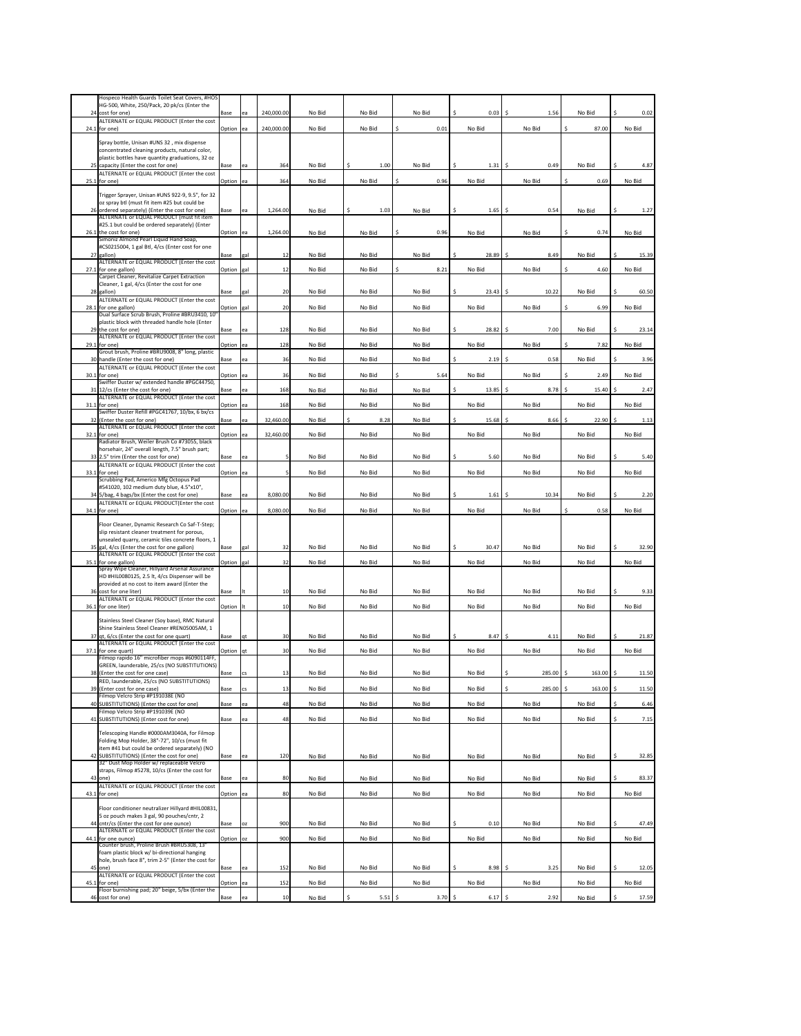|      | Hospeco Health Guards Toilet Seat Covers, #HOS                                                     |            |     |            |        |           |            |             |             |            |             |
|------|----------------------------------------------------------------------------------------------------|------------|-----|------------|--------|-----------|------------|-------------|-------------|------------|-------------|
|      | HG-500, White, 250/Pack, 20 pk/cs (Enter the                                                       |            |     |            |        |           |            |             |             |            |             |
|      | 24 cost for one)                                                                                   | Base       | ea  | 240,000.00 | No Bid | No Bid    | No Bid     | 0.03        | 1.56        | No Bid     | 0.02        |
|      | ALTERNATE or EQUAL PRODUCT (Enter the cost<br>24.1 for one)                                        |            | ea  |            | No Bid | No Bid    | ¢<br>0.01  | No Bid      | No Bid      | 87.00      | No Bid      |
|      |                                                                                                    | Option     |     | 240,000.00 |        |           |            |             |             |            |             |
|      | Spray bottle, Unisan #UNS 32, mix dispense                                                         |            |     |            |        |           |            |             |             |            |             |
|      | concentrated cleaning products, natural color,<br>plastic bottles have quantity graduations, 32 oz |            |     |            |        |           |            |             |             |            |             |
| 25   | capacity (Enter the cost for one)                                                                  | Base       | ea  | 364        | No Bid | 1.00      | No Bid     | Ś<br>1.31   | 0.49        | No Bid     | 4.87        |
|      | ALTERNATE or EQUAL PRODUCT (Enter the cost                                                         |            |     |            |        |           |            |             |             |            |             |
|      | 25.1 for one)                                                                                      | Option     | ea  | 364        | No Bid | No Bid    | 0.96       | No Bid      | No Bid      | 0.69       | No Bid      |
|      |                                                                                                    |            |     |            |        |           |            |             |             |            |             |
|      | Trigger Sprayer, Unisan #UNS 922-9, 9.5", for 32<br>oz spray btl (must fit item #25 but could be   |            |     |            |        |           |            |             |             |            |             |
|      | 26 ordered separately) (Enter the cost for one)                                                    | Base       | ea  | 1,264.00   | No Bid | 1.03      | No Bid     | Ŝ<br>1.65   | 0.54        | No Bid     | 1.27        |
|      | ALTERNATE or EQUAL PRODUCT (must fit item                                                          |            |     |            |        |           |            |             |             |            |             |
|      | #25.1 but could be ordered separately) (Enter                                                      |            |     |            |        |           |            |             |             |            |             |
|      | 26.1 the cost for one)<br>Simoniz Almond Pearl Liquid Hand Soap,                                   | Option     | ea  | 1,264.00   | No Bid | No Bid    | 0.96<br>Ŝ  | No Bid      | No Bid      | 0.74       | No Bid      |
|      | #CS0215004, 1 gal Btl, 4/cs (Enter cost for one                                                    |            |     |            |        |           |            |             |             |            |             |
|      | 27 gallon)                                                                                         | Base       | gal | 12         | No Bid | No Bid    | No Bid     | 28.89       | 8.49        | No Bid     | 15.39       |
|      | ALTERNATE or EQUAL PRODUCT (Enter the cost                                                         |            |     |            |        |           |            |             |             |            |             |
|      | 27.1 for one gallon)                                                                               | Option     | gal | 12         | No Bid | No Bid    | Ś<br>8.21  | No Bid      | No Bid      | 4.60<br>Ś  | No Bid      |
|      | Carpet Cleaner, Revitalize Carpet Extraction<br>Cleaner, 1 gal, 4/cs (Enter the cost for one       |            |     |            |        |           |            |             |             |            |             |
|      | 28 gallon)                                                                                         | Base       | gal | 20         | No Bid | No Bid    | No Bid     | 23.43       | 10.22       | No Bid     | Ś<br>60.50  |
|      | ALTERNATE or EQUAL PRODUCT (Enter the cost                                                         |            |     |            |        |           |            |             |             |            |             |
|      | 28.1 for one gallon)                                                                               | Option gal |     | 20         | No Bid | No Bid    | No Bid     | No Bid      | No Bid      | 6.99       | No Bid      |
|      | Dual Surface Scrub Brush, Proline #BRU3410, 10                                                     |            |     |            |        |           |            |             |             |            |             |
|      | plastic block with threaded handle hole (Enter<br>29 the cost for one)                             | Base       | ea  | 128        | No Bid | No Bid    | No Bid     | \$<br>28.82 | 7.00        | No Bid     | Ś<br>23.14  |
|      | ALTERNATE or EQUAL PRODUCT (Enter the cost                                                         |            |     |            |        |           |            |             |             |            |             |
| 29.1 | for one)                                                                                           | Option     | ea  | 128        | No Bid | No Bid    | No Bid     | No Bid      | No Bid      | 7.82       | No Bid      |
|      | Grout brush, Proline #BRU9008, 8" long, plastic                                                    |            |     |            |        |           |            |             |             |            |             |
|      | 30 handle (Enter the cost for one)                                                                 | Base       | ėя  | 36         | No Bid | No Bid    | No Bid     | \$<br>2.19  | 0.58<br>Ŝ   | No Bid     | 3.96        |
|      | ALTERNATE or EQUAL PRODUCT (Enter the cost<br>30.1 for one)                                        |            |     | 36         |        | No Bid    | 5.64       | No Bid      | No Bid      | 2.49       |             |
|      | Swiffer Duster w/ extended handle #PGC44750,                                                       | Option     | ea  |            | No Bid |           |            |             |             |            | No Bid      |
|      | 31 12/cs (Enter the cost for one)                                                                  | Base       | ea  | 168        | No Bid | No Bid    | No Bid     | \$<br>13.85 | 8.78<br>Ś   | Ŝ<br>15.40 | \$<br>2.47  |
|      | ALTERNATE or EQUAL PRODUCT (Enter the cost                                                         |            |     |            |        |           |            |             |             |            |             |
| 31.1 | for one)                                                                                           | Option     | ea  | 168        | No Bid | No Bid    | No Bid     | No Bid      | No Bid      | No Bid     | No Bid      |
|      | Swiffer Duster Refill #PGC41767, 10/bx, 6 bx/cs<br>32 (Enter the cost for one)                     | Base       |     | 32,460.00  | No Bid | 8.28      | No Bid     | 15.68       | 8.66        | 22.90      | \$<br>1.13  |
|      | ALTERNATE or EQUAL PRODUCT (Enter the cost                                                         |            | ea  |            |        |           |            |             |             |            |             |
|      | 32.1 for one)                                                                                      | Option     | ea  | 32,460.00  | No Bid | No Bid    | No Bid     | No Bid      | No Bid      | No Bid     | No Bid      |
|      | Radiator Brush, Weiler Brush Co #73055, black                                                      |            |     |            |        |           |            |             |             |            |             |
|      | horsehair, 24" overall length, 7.5" brush part;                                                    |            |     |            |        |           |            |             |             |            | \$          |
|      | 33 2.5" trim (Enter the cost for one)<br>ALTERNATE or EQUAL PRODUCT (Enter the cost                | Base       | ea  |            | No Bid | No Bid    | No Bid     | \$<br>5.60  | No Bid      | No Bid     | 5.40        |
|      | 33.1 for one)                                                                                      | Option     | ea  |            | No Bid | No Bid    | No Bid     | No Bid      | No Bid      | No Bid     | No Bid      |
|      | Scrubbing Pad, Americo Mfg Octopus Pad                                                             |            |     |            |        |           |            |             |             |            |             |
|      | #541020, 102 medium duty blue, 4.5"x10",                                                           |            |     |            |        |           |            |             |             |            |             |
| 34   | 5/bag, 4 bags/bx (Enter the cost for one)<br>ALTERNATE or EQUAL PRODUCT(Enter the cost             | Base       | ea  | 8,080.00   | No Bid | No Bid    | No Bid     | 1.61        | 10.34       | No Bid     | 2.20        |
|      | 34.1 for one)                                                                                      | Option     | ea  | 8,080.00   | No Bid | No Bid    | No Bid     | No Bid      | No Bid      | 0.58       | No Bid      |
|      |                                                                                                    |            |     |            |        |           |            |             |             |            |             |
|      | Floor Cleaner, Dynamic Research Co Saf-T-Step;                                                     |            |     |            |        |           |            |             |             |            |             |
|      | slip resistant cleaner treatment for porous,                                                       |            |     |            |        |           |            |             |             |            |             |
|      | unsealed quarry, ceramic tiles concrete floors, 1<br>35 gal, 4/cs (Enter the cost for one gallon)  |            |     |            |        |           |            | 30.47<br>Ś  |             |            | 32.90<br>Ś  |
|      | ALTERNATE or EQUAL PRODUCT (Enter the cost                                                         | Base       | gal | 32         | No Bid | No Bid    | No Bid     |             | No Bid      | No Bid     |             |
|      | 35.1 for one gallon)                                                                               | Option gal |     | 32         | No Bid | No Bid    | No Bid     | No Bid      | No Bid      | No Bid     | No Bid      |
|      | Spray Wipe Cleaner, Hillyard Arsenal Assurance                                                     |            |     |            |        |           |            |             |             |            |             |
|      | HD #HIL0080125, 2.5 lt, 4/cs Dispenser will be<br>provided at no cost to item award (Enter the     |            |     |            |        |           |            |             |             |            |             |
|      | 36 cost for one liter)                                                                             | Base       |     | 10         | No Bid | No Bid    | No Bid     | No Bid      | No Bid      | No Bid     | Š.<br>9.33  |
|      | ALTERNATE or EQUAL PRODUCT (Enter the cost                                                         |            |     |            |        |           |            |             |             |            |             |
|      | 36.1 for one liter)                                                                                | Option     | It  | 10         | No Bid | No Bid    | No Bid     | No Bid      | No Bid      | No Bid     | No Bid      |
|      |                                                                                                    |            |     |            |        |           |            |             |             |            |             |
|      | Stainless Steel Cleaner (Soy base), RMC Natural<br>Shine Stainless Steel Cleaner #REN05005AM, 1    |            |     |            |        |           |            |             |             |            |             |
| 37   | gt, 6/cs (Enter the cost for one quart)                                                            | Base       | at  | 30         | No Bid | No Bid    | No Bid     | 8.47<br>Ŝ   | 4.11        | No Bid     | 21.87       |
|      | ALTERNATE or EQUAL PRODUCT (Enter the cost                                                         |            |     |            |        |           |            |             |             |            |             |
|      | 37.1 for one quart)                                                                                | Option     |     | 30         | No Bid | No Bid    | No Bid     | No Bid      | No Bid      | No Bid     | No Bid      |
|      | Filmop rapido 16" microfiber mops #6090114FF,<br>GREEN, launderable, 25/cs (NO SUBSTITUTIONS)      |            |     |            |        |           |            |             |             |            |             |
|      | 38 (Enter the cost for one case)                                                                   | Base       | cs  | 13         | No Bid | No Bid    | No Bid     | No Bid      | 285.00      | 163.00     | Ś<br>11.50  |
|      | RED, launderable, 25/cs (NO SUBSTITUTIONS)                                                         |            |     |            |        |           |            |             |             |            |             |
|      | 39 (Enter cost for one case)                                                                       | Base       | cs  | 13         | No Bid | No Bid    | No Bid     | No Bid      | Ś<br>285.00 | 163.00     | \$<br>11.50 |
|      | Filmop Velcro Strip #P191038E (NO                                                                  |            |     |            |        |           |            |             |             |            | Ś           |
|      | 40 SUBSTITUTIONS) (Enter the cost for one)<br>Filmop Velcro Strip #P191039E (NO                    | Base       | ea  | 48         | No Bid | No Bid    | No Bid     | No Bid      | No Bid      | No Bid     | 6.46        |
|      | 41 SUBSTITUTIONS) (Enter cost for one)                                                             | Base       | ea  | 48         | No Bid | No Bid    | No Bid     | No Bid      | No Bid      | No Bid     | Ś<br>7.15   |
|      |                                                                                                    |            |     |            |        |           |            |             |             |            |             |
|      | Telescoping Handle #0000AM3040A, for Filmop                                                        |            |     |            |        |           |            |             |             |            |             |
|      | Folding Mop Holder, 38"-72", 10/cs (must fit<br>item #41 but could be ordered separately) (NO      |            |     |            |        |           |            |             |             |            |             |
|      | 42 SUBSTITUTIONS) (Enter the cost for one)                                                         | Base       | ea  | 120        | No Bid | No Bid    | No Bid     | No Bid      | No Bid      | No Bid     | \$<br>32.85 |
|      | 32" Dust Mop Holder w/ replaceable Velcro                                                          |            |     |            |        |           |            |             |             |            |             |
|      | straps, Filmop #5278, 10/cs (Enter the cost for                                                    |            |     |            |        |           |            |             |             |            |             |
|      | 43 one)                                                                                            | Base       | ea  | 80         | No Bid | No Bid    | No Bid     | No Bid      | No Bid      | No Bid     | \$<br>83.37 |
|      | ALTERNATE or EQUAL PRODUCT (Enter the cost<br>43.1 for one)                                        | Option ea  |     | 80         | No Bid | No Bid    | No Bid     | No Bid      | No Bid      | No Bid     | No Bid      |
|      |                                                                                                    |            |     |            |        |           |            |             |             |            |             |
|      | Floor conditioner neutralizer Hillyard #HIL00831,                                                  |            |     |            |        |           |            |             |             |            |             |
|      | 5 oz pouch makes 3 gal, 90 pouches/cntr, 2                                                         |            |     |            |        |           |            |             |             |            |             |
|      | 44 cntr/cs (Enter the cost for one ounce)<br>ALTERNATE or EQUAL PRODUCT (Enter the cost            | Base       | ΟZ  | 900        | No Bid | No Bid    | No Bid     | Ś<br>0.10   | No Bid      | No Bid     | Ś<br>47.49  |
|      | 44.1 for one ounce)                                                                                | Option     | oz  | 900        | No Bid | No Bid    | No Bid     | No Bid      | No Bid      | No Bid     | No Bid      |
|      | Counter brush, Proline Brush #BRU5308, 13"                                                         |            |     |            |        |           |            |             |             |            |             |
|      | foam plastic block w/ bi-directional hanging                                                       |            |     |            |        |           |            |             |             |            |             |
| 45   | hole, brush face 8", trim 2-5" (Enter the cost for<br>one)                                         | Base       |     | 152        |        | No Bid    | No Bid     | Ś<br>8.98   | \$<br>3.25  | No Bid     | Ś<br>12.05  |
|      |                                                                                                    |            | ea  |            | No Bid |           |            |             |             |            |             |
|      |                                                                                                    |            |     |            |        |           |            |             |             |            |             |
| 45.1 | ALTERNATE or EQUAL PRODUCT (Enter the cost<br>for one)                                             | Option     | ea  | 152        | No Bid | No Bid    | No Bid     | No Bid      | No Bid      | No Bid     | No Bid      |
|      | Floor burnishing pad; 20" beige, 5/bx (Enter the<br>46 cost for one)                               | Base       | ea  | 10         | No Bid | Ś<br>5.51 | s.<br>3.70 | Ś<br>6.17   | s.<br>2.92  | No Bid     | Ś<br>17.59  |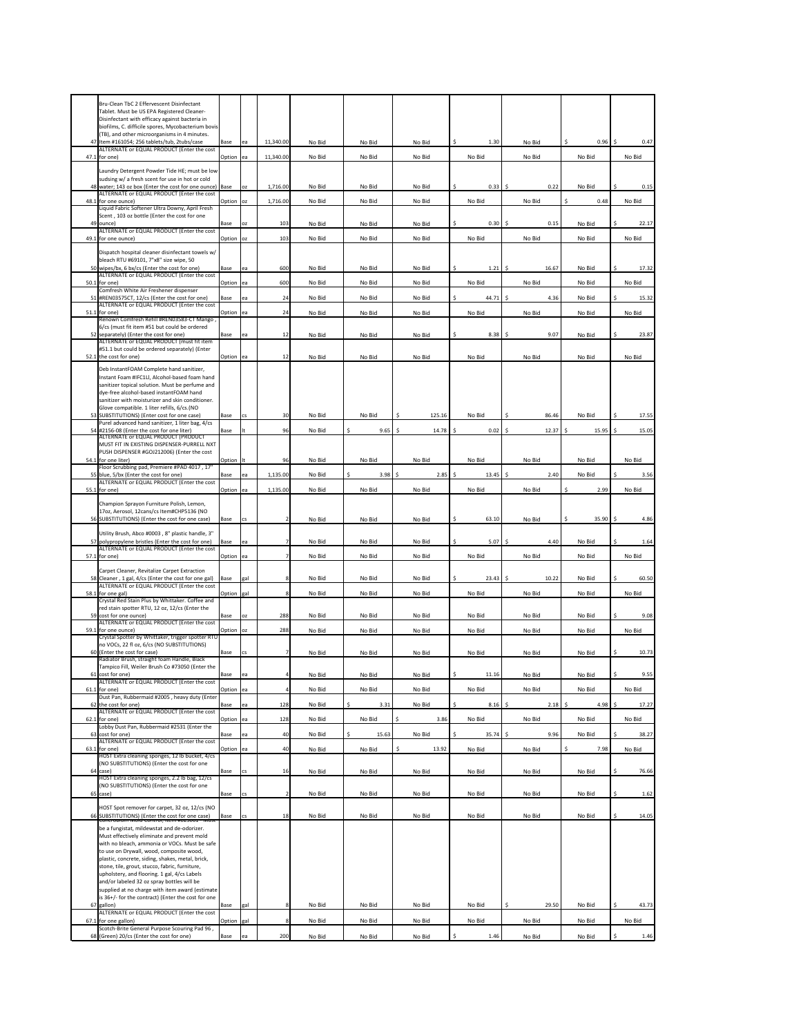|      | Bru-Clean TbC 2 Effervescent Disinfectant<br>Tablet. Must be US EPA Registered Cleaner-                                                            |                |     |           |        |             |            |             |            |           |             |
|------|----------------------------------------------------------------------------------------------------------------------------------------------------|----------------|-----|-----------|--------|-------------|------------|-------------|------------|-----------|-------------|
|      | Disinfectant with efficacy against bacteria in<br>biofilms, C. difficile spores, Mycobacterium bovis                                               |                |     |           |        |             |            |             |            |           |             |
|      | (TB), and other microorganisms in 4 minutes.<br>47 Item #161054; 256 tablets/tub, 2tubs/case                                                       | Base           | ea  | 11,340.00 | No Bid | No Bid      | No Bid     | \$<br>1.30  | No Bid     | 0.96<br>Ŝ | \$<br>0.47  |
|      | ALTERNATE or EQUAL PRODUCT (Enter the cost<br>47.1 for one)                                                                                        |                | ea  | 11,340.00 | No Bid | No Bid      | No Bid     | No Bid      | No Bid     | No Bid    | No Bid      |
|      | Laundry Detergent Powder Tide HE; must be low                                                                                                      | Option         |     |           |        |             |            |             |            |           |             |
|      | sudsing w/ a fresh scent for use in hot or cold<br>48 water; 143 oz box (Enter the cost for one ounce) Base                                        |                | oz  | 1,716.00  | No Bid | No Bid      | No Bid     | Ś<br>0.33   | \$<br>0.22 | No Bid    | 0.15        |
| 48.1 | ALTERNATE or EQUAL PRODUCT (Enter the cost<br>for one ounce)                                                                                       | Option         | oz  | 1,716.00  | No Bid | No Bid      | No Bid     | No Bid      | No Bid     | 0.48      | No Bid      |
|      | Liquid Fabric Softener Ultra Downy, April Fresh<br>Scent, 103 oz bottle (Enter the cost for one                                                    |                |     |           |        |             |            |             |            |           |             |
| 49   | ounce)<br>ALTERNATE or EQUAL PRODUCT (Enter the cost                                                                                               | Base           | 0Z  | 103       | No Bid | No Bid      | No Bid     | \$<br>0.30  | Ś<br>0.15  | No Bid    | \$<br>22.17 |
|      | 49.1 for one ounce)                                                                                                                                | Option         | 0Z  | 103       | No Bid | No Bid      | No Bid     | No Bid      | No Bid     | No Bid    | No Bid      |
|      | Dispatch hospital cleaner disinfectant towels w/<br>bleach RTU #69101, 7"x8" size wipe, 50                                                         |                |     |           |        |             |            |             |            |           |             |
|      | 50 wipes/bx, 6 bx/cs (Enter the cost for one)<br>ALTERNATE or EQUAL PRODUCT (Enter the cost                                                        | Base           | ea  | 60C       | No Bid | No Bid      | No Bid     | \$<br>1.21  | 16.67<br>Ŝ | No Bid    | \$<br>17.32 |
|      | 50.1 for one)<br>Comfresh White Air Freshener dispenser                                                                                            | Option         | ea  | 600       | No Bid | No Bid      | No Bid     | No Bid      | No Bid     | No Bid    | No Bid      |
| 51   | #REN03575CT, 12/cs (Enter the cost for one)<br>ALTERNATE or EQUAL PRODUCT (Enter the cost                                                          | Base           | PЯ  | 24        | No Bid | No Bid      | No Bid     | Ś<br>44.71  | 4.36       | No Bid    | Ś<br>15.32  |
|      | 51.1 for one)<br>Renown Comfresh Refill #REN03583-CT Mango                                                                                         | Option         | ea  | 24        | No Bid | No Bid      | No Bid     | No Bid      | No Bid     | No Bid    | No Bid      |
|      | 6/cs (must fit item #51 but could be ordered<br>52 separately) (Enter the cost for one)                                                            | Base           | ea  | 12        | No Bid | No Bid      | No Bid     | 8.38        | 9.07<br>Ś  | No Bid    | 23.87<br>Ś  |
|      | ALTERNATE or EQUAL PRODUCT (must fit item<br>#51.1 but could be ordered separately) (Enter                                                         |                |     |           |        |             |            |             |            |           |             |
|      | 52.1 the cost for one)                                                                                                                             | Option         | ea  | 12        | No Bid | No Bid      | No Bid     | No Bid      | No Bid     | No Bid    | No Bid      |
|      | Deb InstantFOAM Complete hand sanitizer,<br>Instant Foam #IFC1LI, Alcohol-based foam hand                                                          |                |     |           |        |             |            |             |            |           |             |
|      | sanitizer topical solution. Must be perfume and<br>dye-free alcohol-based instantFOAM hand                                                         |                |     |           |        |             |            |             |            |           |             |
|      | sanitizer with moisturizer and skin conditioner.<br>Glove compatible. 1 liter refills, 6/cs.(NO                                                    |                |     |           |        |             |            |             |            |           |             |
|      | 53 SUBSTITUTIONS) (Enter cost for one case)<br>Purel advanced hand sanitizer, 1 liter bag, 4/cs                                                    | Base           | ٢S  | 30        | No Bid | No Bid<br>Ś | 125.16     | No Bid<br>Ś | 86.46      | No Bid    | 17.55       |
|      | 54 #2156-08 (Enter the cost for one liter)<br>ALTERNATE or EQUAL PRODUCT (PRODUCT<br>MUST FIT IN EXISTING DISPENSER-PURRELL NXT                    | Base           |     | 96        | No Bid | 9.65        | Ś<br>14.78 | 0.02        | 12.37<br>Ś | 15.95     | \$<br>15.05 |
|      | PUSH DISPENSER #GOJ212006) (Enter the cost<br>54.1 for one liter)                                                                                  |                | It  | 96        | No Bid | No Bid      | No Bid     | No Bid      | No Bid     | No Bid    | No Bid      |
| 55   | Floor Scrubbing pad, Premiere #PAD 4017, 17"<br>blue, 5/bx (Enter the cost for one)                                                                | Option<br>Base | ea  | 1,135.00  | No Bid | Ś<br>3.98   | Ś<br>2.85  | Ś<br>13.45  | 2.40<br>Ś  | No Bid    | 3.56        |
| 55.1 | ALTERNATE or EQUAL PRODUCT (Enter the cost<br>for one)                                                                                             | Option         | ea  | 1,135.00  | No Bid | No Bid      | No Bid     | No Bid      | No Bid     | 2.99      | No Bid      |
|      | Champion Sprayon Furniture Polish, Lemon,                                                                                                          |                |     |           |        |             |            |             |            |           |             |
|      | 17oz, Aerosol, 12cans/cs Item#CHP5136 (NO<br>56 SUBSTITUTIONS) (Enter the cost for one case)                                                       | Base           | cs  |           | No Bid | No Bid      | No Bid     | 63.10<br>Ŝ  | No Bid     | 35.90     | 4.86        |
|      | Utility Brush, Abco #0003, 8" plastic handle, 3"                                                                                                   |                |     |           |        |             |            |             |            |           |             |
| 57   | polypropylene bristles (Enter the cost for one)<br>ALTERNATE or EQUAL PRODUCT (Enter the cost                                                      | Base           | ea  | 7         | No Bid | No Bid      | No Bid     | Ś<br>5.07   | Ś<br>4.40  | No Bid    | Ś<br>1.64   |
| 57.1 | for one)                                                                                                                                           | Option         | ea  |           | No Bid | No Bid      | No Bid     | No Bid      | No Bid     | No Bid    | No Bid      |
|      | Carpet Cleaner, Revitalize Carpet Extraction<br>58 Cleaner, 1 gal, 4/cs (Enter the cost for one gal)                                               | Base           | eal | £,        | No Bid | No Bid      | No Bid     | \$<br>23.43 | Ś<br>10.22 | No Bid    | \$<br>60.50 |
|      | ALTERNATE or EQUAL PRODUCT (Enter the cost<br>58.1 for one gal)                                                                                    | Option         | gal |           |        |             |            |             |            |           |             |
|      | Crystal Red Stain Plus by Whittaker. Coffee and<br>red stain spotter RTU, 12 oz, 12/cs (Enter the                                                  |                |     | ε         |        |             |            |             |            |           |             |
|      | 59 cost for one ounce)                                                                                                                             |                |     |           | No Bid | No Bid      | No Bid     | No Bid      | No Bid     | No Bid    | No Bid      |
|      | ALTERNATE or EQUAL PRODUCT (Enter the cost                                                                                                         | Base           | 0Z  | 288       | No Bid | No Bid      | No Bid     | No Bid      | No Bid     | No Bid    | 9.08        |
|      | 59.1 for one ounce)<br>Crystal Spotter by Whittaker, trigger spotter RTU                                                                           | Option         | oz  | 288       | No Bid | No Bid      | No Bid     | No Bid      | No Bid     | No Bid    | No Bid      |
|      | no VOCs, 22 fl oz, 6/cs (NO SUBSTITUTIONS)<br>60 (Enter the cost for case)                                                                         | Base           | cs  | 7         | No Bid | No Bid      | No Bid     | No Bid      | No Bid     | No Bid    | Ś<br>10.73  |
|      | Radiator Brush, straight foam Handle, Black<br>Tampico Fill, Weiler Brush Co #73050 (Enter the                                                     |                |     |           |        |             |            |             |            |           |             |
| 61   | cost for one)<br>ALTERNATE or EQUAL PRODUCT (Enter the cost                                                                                        | Base           | ea  | 4         | No Bid | No Bid      | No Bid     | Ś<br>11.16  | No Bid     | No Bid    | Ś<br>9.55   |
| 61.1 | for one)<br>Dust Pan, Rubbermaid #2005, heavy duty (Enter                                                                                          | Option         | ea  |           | No Bid | No Bid      | No Bid     | No Bid      | No Bid     | No Bid    | No Bid      |
| 62   | the cost for one)<br>ALTERNATE or EQUAL PRODUCT (Enter the cost                                                                                    | Base           | ea  | 128       | No Bid | Ś<br>3.31   | No Bid     | \$<br>8.16  | \$<br>2.18 | 4.98<br>Ś | \$<br>17.27 |
|      | 62.1 for one)<br>Lobby Dust Pan, Rubbermaid #2531 (Enter the                                                                                       | Option         | ea  | 128       | No Bid | No Bid      | Ś<br>3.86  | No Bid      | No Bid     | No Bid    | No Bid      |
|      | 63 cost for one)<br>ALTERNATE or EQUAL PRODUCT (Enter the cost                                                                                     | Base           | ea  | 40        | No Bid | Ś<br>15.63  | No Bid     | \$<br>35.74 | \$<br>9.96 | No Bid    | \$<br>38.27 |
| 63.1 | for one)<br>HOST Extra cleaning sponges, 12 lb bucket, 4/cs                                                                                        | Option ea      |     | 40        | No Bid | No Bid      | 13.92<br>Ŝ | No Bid      | No Bid     | 7.98      | No Bid      |
| 64   | (NO SUBSTITUTIONS) (Enter the cost for one<br>case)                                                                                                | Base           |     | 16        | No Bid | No Bid      | No Bid     | No Bid      | No Bid     | No Bid    | ¢<br>76.66  |
|      | HOST Extra cleaning sponges, 2.2 lb bag, 12/cs<br>(NO SUBSTITUTIONS) (Enter the cost for one                                                       |                |     |           |        |             |            |             |            |           |             |
|      | 65 case)                                                                                                                                           | Base           | cs. |           | No Bid | No Bid      | No Bid     | No Bid      | No Bid     | No Bid    | \$<br>1.62  |
|      | HOST Spot remover for carpet, 32 oz, 12/cs (NO<br>66 SUBSTITUTIONS) (Enter the cost for one case)<br>concrobium ividia control, item #625001 - Mit | Base           | CS  | 18        | No Bid | No Bid      | No Bid     | No Bid      | No Bid     | No Bid    | \$<br>14.05 |
|      | be a fungistat, mildewstat and de-odorizer.<br>Must effectively eliminate and prevent mold                                                         |                |     |           |        |             |            |             |            |           |             |
|      | with no bleach, ammonia or VOCs. Must be safe<br>to use on Drywall, wood, composite wood,                                                          |                |     |           |        |             |            |             |            |           |             |
|      | plastic, concrete, siding, shakes, metal, brick,<br>stone, tile, grout, stucco, fabric, furniture,                                                 |                |     |           |        |             |            |             |            |           |             |
|      | upholstery, and flooring. 1 gal, 4/cs Labels<br>and/or labeled 32 oz spray bottles will be                                                         |                |     |           |        |             |            |             |            |           |             |
|      | supplied at no charge with item award (estimate<br>is 36+/- for the contract) (Enter the cost for one                                              |                |     |           |        |             |            |             |            |           |             |
|      | 67 gallon)<br>ALTERNATE or EQUAL PRODUCT (Enter the cost                                                                                           | Base           | gal | ε         | No Bid | No Bid      | No Bid     | No Bid      | S<br>29.50 | No Bid    | \$<br>43.73 |
|      | 67.1 for one gallon)<br>Scotch-Brite General Purpose Scouring Pad 96,                                                                              | Option         | gal | 8         | No Bid | No Bid      | No Bid     | No Bid      | No Bid     | No Bid    | No Bid      |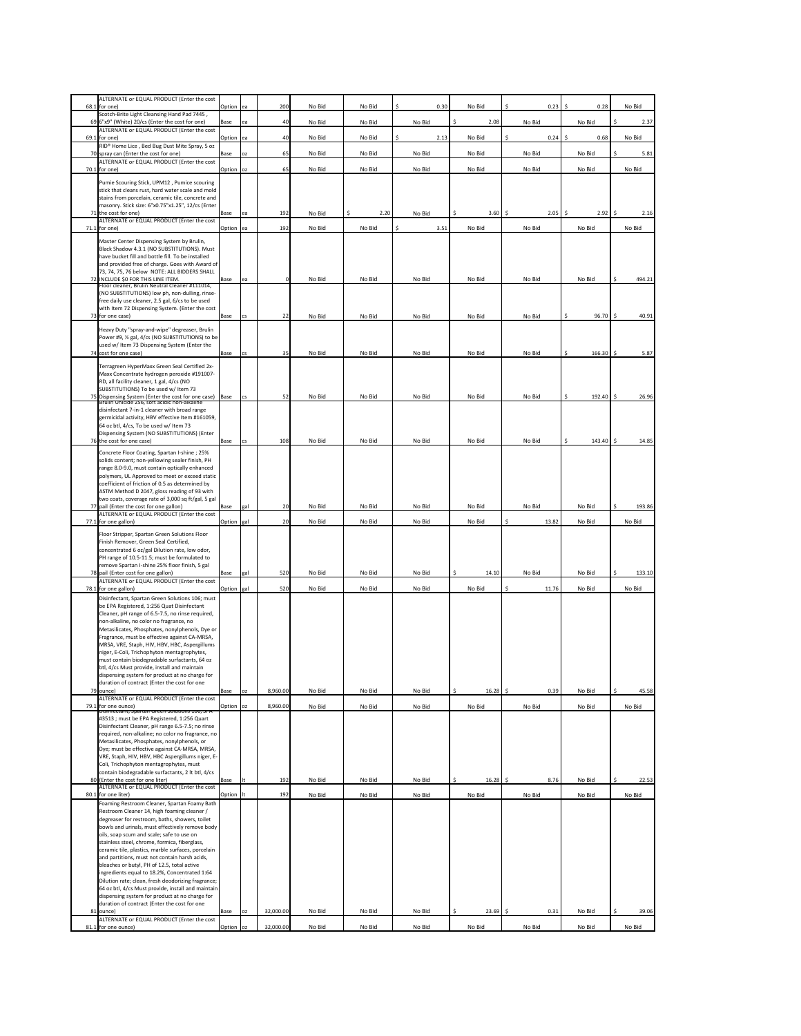| 68.1 | ALTERNATE or EQUAL PRODUCT (Enter the cost<br>for one)                                                   | Option ea  |           | 200        | No Bid | No Bid     | 0.30      | No Bid      | 0.23       | 0.28        | No Bid       |
|------|----------------------------------------------------------------------------------------------------------|------------|-----------|------------|--------|------------|-----------|-------------|------------|-------------|--------------|
|      | Scotch-Brite Light Cleansing Hand Pad 7445,                                                              |            |           |            |        |            |           | Ś<br>2.08   | No Bid     |             | Ś            |
|      | 69 6"x9" (White) 20/cs (Enter the cost for one)<br>ALTERNATE or EQUAL PRODUCT (Enter the cost            | Base       | ea        | 40         | No Bid | No Bid     | No Bid    |             |            | No Bid      | 2.37         |
| 69.1 | for one)<br>RID <sup>®</sup> Home Lice, Bed Bug Dust Mite Spray, 5 oz                                    | Option ea  |           | 40         | No Bid | No Bid     | 2.13      | No Bid      | 0.24<br>Ś  | 0.68        | No Bid       |
|      | 70 spray can (Enter the cost for one)                                                                    | Base       | oz        | 65         | No Bid | No Bid     | No Bid    | No Bid      | No Bid     | No Bid      | Ś<br>5.81    |
|      | ALTERNATE or EQUAL PRODUCT (Enter the cost<br>70.1 for one)                                              | Option oz  |           | 65         | No Bid | No Bid     | No Bid    | No Bid      | No Bid     | No Bid      | No Bid       |
|      | Pumie Scouring Stick, UPM12, Pumice scouring                                                             |            |           |            |        |            |           |             |            |             |              |
|      | stick that cleans rust, hard water scale and mold<br>stains from porcelain, ceramic tile, concrete and   |            |           |            |        |            |           |             |            |             |              |
|      | masonry. Stick size: 6"x0.75"x1.25", 12/cs (Enter                                                        |            |           |            |        |            |           |             |            |             |              |
| 71   | the cost for one)<br>ALTERNATE or EQUAL PRODUCT (Enter the cost                                          | Base       | ea        | 192        | No Bid | \$<br>2.20 | No Bid    | \$<br>3.60  | 2.05<br>\$ | 2.92<br>Ŝ   | Ś<br>2.16    |
| 71.1 | for one)                                                                                                 | Option ea  |           | 192        | No Bid | No Bid     | Ś<br>3.51 | No Bid      | No Bid     | No Bid      | No Bid       |
|      | Master Center Dispensing System by Brulin,<br>Black Shadow 4.3.1 (NO SUBSTITUTIONS). Must                |            |           |            |        |            |           |             |            |             |              |
|      | have bucket fill and bottle fill. To be installed                                                        |            |           |            |        |            |           |             |            |             |              |
|      | and provided free of charge. Goes with Award of<br>73, 74, 75, 76 below NOTE: ALL BIDDERS SHALL          |            |           |            |        |            |           |             |            |             |              |
|      | 72 INCLUDE \$0 FOR THIS LINE ITEM.<br>Floor cleaner, Brulin Neutral Cleaner #111014,                     | Base       | ea        | $^{\circ}$ | No Bid | No Bid     | No Bid    | No Bid      | No Bid     | No Bid      | 494.21<br>Ś. |
|      | (NO SUBSTITUTIONS) low ph, non-dulling, rinse-                                                           |            |           |            |        |            |           |             |            |             |              |
|      | free daily use cleaner, 2.5 gal, 6/cs to be used<br>with Item 72 Dispensing System. (Enter the cost      |            |           |            |        |            |           |             |            |             |              |
|      | 73 for one case)                                                                                         | Base       | cs        | 22         | No Bid | No Bid     | No Bid    | No Bid      | No Bid     | 96.70<br>Ś  | Ś<br>40.91   |
|      | Heavy Duty "spray-and-wipe" degreaser, Brulin                                                            |            |           |            |        |            |           |             |            |             |              |
|      | Power #9, 1/2 gal, 4/cs (NO SUBSTITUTIONS) to be<br>used w/ Item 73 Dispensing System (Enter the         |            |           |            |        |            |           |             |            |             |              |
| 74   | cost for one case)                                                                                       | Base       | cs        | 35         | No Bid | No Bid     | No Bid    | No Bid      | No Bid     | 166.30      | 5.87<br>Ś    |
|      | Terragreen HyperMaxx Green Seal Certified 2x-<br>Maxx Concentrate hydrogen peroxide #191007-             |            |           |            |        |            |           |             |            |             |              |
|      | RD, all facility cleaner, 1 gal, 4/cs (NO                                                                |            |           |            |        |            |           |             |            |             |              |
| 75   | SUBSTITUTIONS) To be used w/ Item 73<br>Dispensing System (Enter the cost for one case) Base             |            | cs        | 52         | No Bid | No Bid     | No Bid    | No Bid      | No Bid     | 192.40<br>Ś | Ŝ.<br>26.96  |
|      | Brulin Unicide 256, soft acidic non-alkaline<br>disinfectant 7-in-1 cleaner with broad range             |            |           |            |        |            |           |             |            |             |              |
|      | germicidal activity, HBV effective Item #161059,                                                         |            |           |            |        |            |           |             |            |             |              |
|      | 64 oz btl, 4/cs, To be used w/ Item 73<br>Dispensing System (NO SUBSTITUTIONS) (Enter                    |            |           |            |        |            |           |             |            |             |              |
|      | 76 the cost for one case)                                                                                | Base       | cs        | 108        | No Bid | No Bid     | No Bid    | No Bid      | No Bid     | Ś<br>143.40 | \$<br>14.85  |
|      | Concrete Floor Coating, Spartan I-shine; 25%<br>solids content; non-yellowing sealer finish, PH          |            |           |            |        |            |           |             |            |             |              |
|      | range 8.0-9.0, must contain optically enhanced                                                           |            |           |            |        |            |           |             |            |             |              |
|      | polymers, UL Approved to meet or exceed static<br>coefficient of friction of 0.5 as determined by        |            |           |            |        |            |           |             |            |             |              |
|      | ASTM Method D 2047, gloss reading of 93 with                                                             |            |           |            |        |            |           |             |            |             |              |
| 77   | two coats, coverage rate of 3,000 sq ft/gal, 5 gal<br>pail (Enter the cost for one gallon)               | Base       | gal       | 20         | No Bid | No Bid     | No Bid    | No Bid      | No Bid     | No Bid      | 193.86<br>Ś  |
|      | ALTERNATE or EQUAL PRODUCT (Enter the cost                                                               |            |           |            |        |            |           |             |            |             |              |
| 77.1 | for one gallon)                                                                                          | Option gal |           | 20         | No Bid | No Bid     | No Bid    | No Bid      | 13.82<br>Ś | No Bid      | No Bid       |
|      | Floor Stripper, Spartan Green Solutions Floor<br>Finish Remover, Green Seal Certified,                   |            |           |            |        |            |           |             |            |             |              |
|      | concentrated 6 oz/gal Dilution rate, low odor,                                                           |            |           |            |        |            |           |             |            |             |              |
|      | PH range of 10.5-11.5; must be formulated to<br>remove Spartan I-shine 25% floor finish, 5 gal           |            |           |            |        |            |           |             |            |             |              |
| 78   | pail (Enter cost for one gallon)<br>ALTERNATE or EQUAL PRODUCT (Enter the cost                           | Base       | gal       | 520        | No Bid | No Bid     | No Bid    | Ś<br>14.10  | No Bid     | No Bid      | Ś<br>133.10  |
| 78.1 | for one gallon)                                                                                          | Option     | gal       | 520        | No Bid | No Bid     | No Bid    | No Bid      | 11.76      | No Bid      | No Bid       |
|      | Disinfectant, Spartan Green Solutions 106; must<br>be EPA Registered, 1:256 Quat Disinfectant            |            |           |            |        |            |           |             |            |             |              |
|      | Cleaner, pH range of 6.5-7.5, no rinse required,                                                         |            |           |            |        |            |           |             |            |             |              |
|      | non-alkaline, no color no fragrance, no<br>Metasilicates, Phosphates, nonylphenols, Dye or               |            |           |            |        |            |           |             |            |             |              |
|      | Fragrance, must be effective against CA-MRSA,                                                            |            |           |            |        |            |           |             |            |             |              |
|      | MRSA, VRE, Staph, HIV, HBV, HBC, Aspergillums                                                            |            |           |            |        |            |           |             |            |             |              |
|      | niger, E-Coli, Trichophyton mentagrophytes,<br>must contain biodegradable surfactants, 64 oz             |            |           |            |        |            |           |             |            |             |              |
|      | btl, 4/cs Must provide, install and maintain                                                             |            |           |            |        |            |           |             |            |             |              |
|      | dispensing system for product at no charge for<br>duration of contract (Enter the cost for one           |            |           |            |        |            |           |             |            |             |              |
| 79   | ounce)<br>ALTERNATE or EQUAL PRODUCT (Enter the cost                                                     | Base       | <b>OZ</b> | 8,960.00   | No Bid | No Bid     | No Bid    | \$<br>16.28 | Ś<br>0.39  | No Bid      | \$<br>45.58  |
| 79.1 | for one ounce)<br><del>mnectam, Spartan oreen solutions 100, s</del> i                                   | Option     | loz       | 8,960.00   | No Bid | No Bid     | No Bid    | No Bid      | No Bid     | No Bid      | No Bid       |
|      | #3513 ; must be EPA Registered, 1:256 Quart                                                              |            |           |            |        |            |           |             |            |             |              |
|      | Disinfectant Cleaner, pH range 6.5-7.5; no rinse<br>required, non-alkaline; no color no fragrance, no    |            |           |            |        |            |           |             |            |             |              |
|      | Metasilicates, Phosphates, nonylphenols, or                                                              |            |           |            |        |            |           |             |            |             |              |
|      | Dye; must be effective against CA-MRSA, MRSA,<br>VRE, Staph, HIV, HBV, HBC Aspergillums niger, E-        |            |           |            |        |            |           |             |            |             |              |
|      | Coli, Trichophyton mentagrophytes, must                                                                  |            |           |            |        |            |           |             |            |             |              |
|      | contain biodegradable surfactants, 2 lt btl, 4/cs<br>80 (Enter the cost for one liter)                   | Base       | lt        | 192        | No Bid | No Bid     | No Bid    | 16.28       | 8.76       | No Bid      | 22.53        |
| 80.1 | ALTERNATE or EQUAL PRODUCT (Enter the cost<br>for one liter)                                             | Option     | It        | 192        | No Bid | No Bid     | No Bid    | No Bid      | No Bid     | No Bid      | No Bid       |
|      | Foaming Restroom Cleaner, Spartan Foamy Bath                                                             |            |           |            |        |            |           |             |            |             |              |
|      | Restroom Cleaner 14, high foaming cleaner /<br>degreaser for restroom, baths, showers, toilet            |            |           |            |        |            |           |             |            |             |              |
|      | bowls and urinals, must effectively remove body                                                          |            |           |            |        |            |           |             |            |             |              |
|      | oils, soap scum and scale; safe to use on<br>stainless steel, chrome, formica, fiberglass,               |            |           |            |        |            |           |             |            |             |              |
|      | ceramic tile, plastics, marble surfaces, porcelain                                                       |            |           |            |        |            |           |             |            |             |              |
|      | and partitions, must not contain harsh acids,<br>bleaches or butyl, PH of 12.5, total active             |            |           |            |        |            |           |             |            |             |              |
|      | ingredients equal to 18.2%, Concentrated 1:64                                                            |            |           |            |        |            |           |             |            |             |              |
|      | Dilution rate; clean, fresh deodorizing fragrance;<br>64 oz btl, 4/cs Must provide, install and maintain |            |           |            |        |            |           |             |            |             |              |
|      | dispensing system for product at no charge for                                                           |            |           |            |        |            |           |             |            |             |              |
| 81   | duration of contract (Enter the cost for one<br>ounce)                                                   | Base       | 0Z        | 32,000.00  | No Bid | No Bid     | No Bid    | \$<br>23.69 | 0.31<br>ŝ  | No Bid      | \$<br>39.06  |
|      | ALTERNATE or EQUAL PRODUCT (Enter the cost<br>81.1 for one ounce)                                        | Option 02  |           | 32,000.00  | No Bid | No Bid     | No Bid    | No Bid      | No Bid     | No Bid      | No Bid       |
|      |                                                                                                          |            |           |            |        |            |           |             |            |             |              |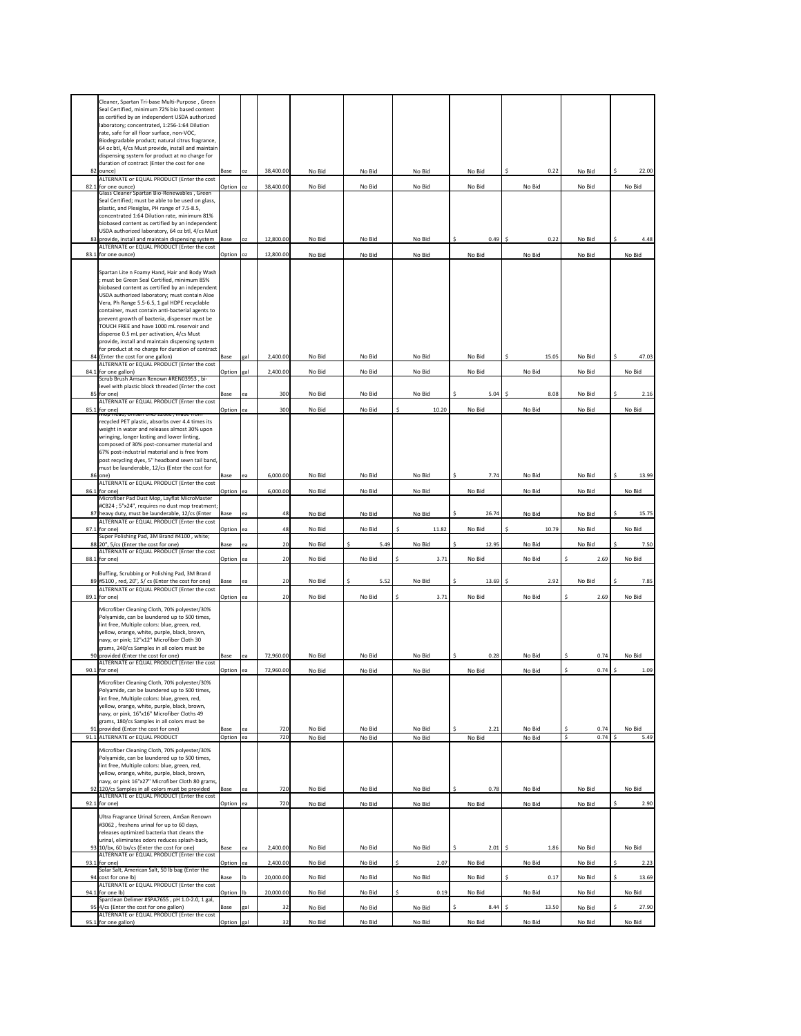|      | Cleaner, Spartan Tri-base Multi-Purpose, Green<br>Seal Certified, minimum 72% bio based content      |            |     |           |        |            |        |             |            |           |    |        |
|------|------------------------------------------------------------------------------------------------------|------------|-----|-----------|--------|------------|--------|-------------|------------|-----------|----|--------|
|      | as certified by an independent USDA authorized                                                       |            |     |           |        |            |        |             |            |           |    |        |
|      | laboratory; concentrated, 1:256-1:64 Dilution                                                        |            |     |           |        |            |        |             |            |           |    |        |
|      | rate, safe for all floor surface, non-VOC,<br>Biodegradable product; natural citrus fragrance,       |            |     |           |        |            |        |             |            |           |    |        |
|      | 64 oz btl, 4/cs Must provide, install and maintain                                                   |            |     |           |        |            |        |             |            |           |    |        |
|      | dispensing system for product at no charge for                                                       |            |     |           |        |            |        |             |            |           |    |        |
| 82   | duration of contract (Enter the cost for one<br>ounce)                                               | Base       | OZ  | 38,400.00 | No Bid | No Bid     | No Bid | No Bid      | 0.22       | No Bid    |    | 22.00  |
|      | ALTERNATE or EQUAL PRODUCT (Enter the cost                                                           |            |     |           |        |            |        |             |            |           |    |        |
|      | 82.1 for one ounce)                                                                                  | Option oz  |     | 38,400.00 | No Bid | No Bid     | No Bid | No Bid      | No Bid     | No Bid    |    | No Bid |
|      | Glass Cleaner Spartan Bio-Renewables , Green<br>Seal Certified; must be able to be used on glass,    |            |     |           |        |            |        |             |            |           |    |        |
|      | plastic, and Plexiglas, PH range of 7.5-8.5,                                                         |            |     |           |        |            |        |             |            |           |    |        |
|      | concentrated 1:64 Dilution rate, minimum 81%                                                         |            |     |           |        |            |        |             |            |           |    |        |
|      | biobased content as certified by an independent<br>USDA authorized laboratory, 64 oz btl, 4/cs Must  |            |     |           |        |            |        |             |            |           |    |        |
|      | 83 provide, install and maintain dispensing system                                                   | Base       | oz  | 12,800.00 | No Bid | No Bid     | No Bid | 0.49        | 0.22       | No Bid    | Ś  | 4.48   |
|      | ALTERNATE or EQUAL PRODUCT (Enter the cost                                                           |            |     |           |        |            |        |             |            |           |    |        |
|      | 83.1 for one ounce)                                                                                  | Option oz  |     | 12,800.00 | No Bid | No Bid     | No Bid | No Bid      | No Bid     | No Bid    |    | No Bid |
|      | Spartan Lite n Foamy Hand, Hair and Body Wash                                                        |            |     |           |        |            |        |             |            |           |    |        |
|      | must be Green Seal Certified, minimum 85%                                                            |            |     |           |        |            |        |             |            |           |    |        |
|      | biobased content as certified by an independent                                                      |            |     |           |        |            |        |             |            |           |    |        |
|      | USDA authorized laboratory; must contain Aloe                                                        |            |     |           |        |            |        |             |            |           |    |        |
|      | Vera, Ph Range 5.5-6.5, 1 gal HDPE recyclable<br>container, must contain anti-bacterial agents to    |            |     |           |        |            |        |             |            |           |    |        |
|      | prevent growth of bacteria, dispenser must be                                                        |            |     |           |        |            |        |             |            |           |    |        |
|      | TOUCH FREE and have 1000 mL reservoir and                                                            |            |     |           |        |            |        |             |            |           |    |        |
|      | dispense 0.5 mL per activation, 4/cs Must                                                            |            |     |           |        |            |        |             |            |           |    |        |
|      | provide, install and maintain dispensing system<br>for product at no charge for duration of contract |            |     |           |        |            |        |             |            |           |    |        |
|      | 84 (Enter the cost for one gallon)                                                                   | Base       | gal | 2,400.00  | No Bid | No Bid     | No Bid | No Bid      | 15.05      | No Bid    | \$ | 47.03  |
|      | ALTERNATE or EQUAL PRODUCT (Enter the cost                                                           |            |     |           |        |            |        |             |            |           |    |        |
| 84.1 | for one gallon)<br>Scrub Brush Amsan Renown #REN03953, bi-                                           | Option     | gal | 2,400.00  | No Bid | No Bid     | No Bid | No Bid      | No Bid     | No Bid    |    | No Bid |
|      | level with plastic block threaded (Enter the cost                                                    |            |     |           |        |            |        |             |            |           |    |        |
| 85   | for one)                                                                                             | Base       | ea  | 300       | No Bid | No Bid     | No Bid | 5.04        | 8.08       | No Bid    |    | 2.16   |
|      | ALTERNATE or EQUAL PRODUCT (Enter the cost<br>85.1 for one)                                          | Option     | ea  | 300       | No Bid | No Bid     | 10.20  | No Bid      | No Bid     | No Bid    |    | No Bid |
|      |                                                                                                      |            |     |           |        |            |        |             |            |           |    |        |
|      | recycled PET plastic, absorbs over 4.4 times its<br>weight in water and releases almost 30% upon     |            |     |           |        |            |        |             |            |           |    |        |
|      | wringing, longer lasting and lower linting,                                                          |            |     |           |        |            |        |             |            |           |    |        |
|      | composed of 30% post-consumer material and                                                           |            |     |           |        |            |        |             |            |           |    |        |
|      | 67% post-industrial material and is free from                                                        |            |     |           |        |            |        |             |            |           |    |        |
|      | post recycling dyes, 5" headband sewn tail band,<br>must be launderable, 12/cs (Enter the cost for   |            |     |           |        |            |        |             |            |           |    |        |
|      | 86 one)                                                                                              | Base       | ea  | 6,000.00  | No Bid | No Bid     | No Bid | 7.74        | No Bid     | No Bid    |    | 13.99  |
|      | ALTERNATE or EQUAL PRODUCT (Enter the cost                                                           |            |     |           |        |            |        |             |            |           |    |        |
|      | 86.1 for one)<br>Microfiber Pad Dust Mop, Layflat MicroMaster                                        | Option ea  |     | 6,000.00  | No Bid | No Bid     | No Bid | No Bid      | No Bid     | No Bid    |    | No Bid |
|      | #CB24 ; 5"x24", requires no dust mop treatment;                                                      |            |     |           |        |            |        |             |            |           |    |        |
|      | 87 heavy duty, must be launderable, 12/cs (Enter                                                     | Base       | ea  | 48        | No Bid | No Bid     | No Bid | \$<br>26.74 | No Bid     | No Bid    | \$ | 15.75  |
| 87.1 | ALTERNATE or EQUAL PRODUCT (Enter the cost<br>for one)                                               |            | lea | 48        | No Bid | No Bid     | 11.82  | No Bid      | 10.79      | No Bid    |    | No Bid |
|      | Super Polishing Pad, 3M Brand #4100, white;                                                          | Option     |     |           |        |            |        |             |            |           |    |        |
|      | 88 20", 5/cs (Enter the cost for one)                                                                | Base       | ea  | 20        | No Bid | \$<br>5.49 | No Bid | \$<br>12.95 | No Bid     | No Bid    | \$ | 7.50   |
|      | ALTERNATE or EQUAL PRODUCT (Enter the cost<br>88.1 for one)                                          |            |     | 20        | No Bid | No Bid     | 3.71   | No Bid      | No Bid     | 2.69      |    | No Bid |
|      |                                                                                                      | Option ea  |     |           |        |            |        |             |            |           |    |        |
|      | Buffing, Scrubbing or Polishing Pad, 3M Brand                                                        |            |     |           |        |            |        |             |            |           |    |        |
|      | 89 #5100, red, 20", 5/ cs (Enter the cost for one)<br>ALTERNATE or EQUAL PRODUCT (Enter the cost     | Base       | ea  | 20        | No Bid | 5.52       | No Bid | Ś<br>13.69  | 2.92       | No Bid    |    | 7.85   |
|      | 89.1 for one)                                                                                        | Option ea  |     | 20        | No Bid | No Bid     | 3.71   | No Bid      | No Bid     | 2.69<br>Ś |    | No Bid |
|      | Microfiber Cleaning Cloth, 70% polyester/30%                                                         |            |     |           |        |            |        |             |            |           |    |        |
|      | Polyamide, can be laundered up to 500 times,                                                         |            |     |           |        |            |        |             |            |           |    |        |
|      | lint free, Multiple colors: blue, green, red,                                                        |            |     |           |        |            |        |             |            |           |    |        |
|      | yellow, orange, white, purple, black, brown,                                                         |            |     |           |        |            |        |             |            |           |    |        |
|      | navy, or pink; 12"x12" Microfiber Cloth 30<br>grams, 240/cs Samples in all colors must be            |            |     |           |        |            |        |             |            |           |    |        |
|      | 90 provided (Enter the cost for one)                                                                 | Base       | ea  | 72,960.00 | No Bid | No Bid     | No Bid | 0.28        | No Bid     | 0.74      |    | No Bid |
|      | ALTERNATE or EQUAL PRODUCT (Enter the cost                                                           |            |     |           |        |            |        |             |            |           |    |        |
| 90.1 | for one)                                                                                             | Option ea  |     | 72,960.00 | No Bid | No Bid     | No Bid | No Bid      | No Bid     | 0.74      | Š. | 1.09   |
|      | Microfiber Cleaning Cloth, 70% polyester/30%                                                         |            |     |           |        |            |        |             |            |           |    |        |
|      | Polyamide, can be laundered up to 500 times,<br>lint free, Multiple colors: blue, green, red,        |            |     |           |        |            |        |             |            |           |    |        |
|      | yellow, orange, white, purple, black, brown,                                                         |            |     |           |        |            |        |             |            |           |    |        |
|      | navy, or pink, 16"x16" Microfiber Cloths 49                                                          |            |     |           |        |            |        |             |            |           |    |        |
| 91   | grams, 180/cs Samples in all colors must be<br>provided (Enter the cost for one)                     | Base       | ea  | 720       | No Bid | No Bid     | No Bid | \$<br>2.21  | No Bid     | 0.74      |    | No Bid |
|      | 91.1 ALTERNATE or EQUAL PRODUCT                                                                      | Option ea  |     | 720       | No Bid | No Bid     | No Bid | No Bid      | No Bid     | Ś<br>0.74 |    | 5.49   |
|      |                                                                                                      |            |     |           |        |            |        |             |            |           |    |        |
|      | Microfiber Cleaning Cloth, 70% polyester/30%<br>Polyamide, can be laundered up to 500 times,         |            |     |           |        |            |        |             |            |           |    |        |
|      | lint free, Multiple colors: blue, green, red,                                                        |            |     |           |        |            |        |             |            |           |    |        |
|      | yellow, orange, white, purple, black, brown,                                                         |            |     |           |        |            |        |             |            |           |    |        |
| 92   | navy, or pink 16"x27" Microfiber Cloth 80 grams,<br>120/cs Samples in all colors must be provided    | Base       |     | 720       | No Bid |            |        | Ś<br>0.78   | No Bid     | No Bid    |    | No Bid |
|      | ALTERNATE or EQUAL PRODUCT (Enter the cost                                                           |            | ea  |           |        | No Bid     | No Bid |             |            |           |    |        |
| 92.1 | for one)                                                                                             | Option ea  |     | 720       | No Bid | No Bid     | No Bid | No Bid      | No Bid     | No Bid    | Š. | 2.90   |
|      | Ultra Fragrance Urinal Screen, AmSan Renown                                                          |            |     |           |        |            |        |             |            |           |    |        |
|      | #3062, freshens urinal for up to 60 days,                                                            |            |     |           |        |            |        |             |            |           |    |        |
|      | releases optimized bacteria that cleans the                                                          |            |     |           |        |            |        |             |            |           |    |        |
| 93   | urinal, eliminates odors reduces splash-back,<br>10/bx, 60 bx/cs (Enter the cost for one)            | Base       | ea  | 2,400.00  | No Bid | No Bid     | No Bid | 2.01<br>\$  | \$<br>1.86 | No Bid    |    | No Bid |
|      | ALTERNATE or EQUAL PRODUCT (Enter the cost                                                           |            |     |           |        |            |        |             |            |           |    |        |
| 93.1 | for one)                                                                                             | Option ea  |     | 2,400.00  | No Bid | No Bid     | 2.07   | No Bid      | No Bid     | No Bid    | \$ | 2.23   |
|      | Solar Salt, American Salt, 50 lb bag (Enter the<br>94 cost for one lb)                               | Base       | Ib  | 20,000.00 | No Bid | No Bid     | No Bid | No Bid      | 0.17<br>Ś  | No Bid    | \$ | 13.69  |
|      | ALTERNATE or EQUAL PRODUCT (Enter the cost                                                           |            |     |           |        |            |        |             |            |           |    |        |
|      | 94.1 for one lb)                                                                                     | Option Ib  |     | 20,000.00 | No Bid | No Bid     | 0.19   | No Bid      | No Bid     | No Bid    |    | No Bid |
| 95   | Sparclean Delimer #SPA7655, pH 1.0-2.0, 1 gal,<br>4/cs (Enter the cost for one gallon)               | Base       | gal | 32        | No Bid | No Bid     | No Bid | \$<br>8.44  | Ś<br>13.50 | No Bid    | Ś  | 27.90  |
|      | ALTERNATE or EQUAL PRODUCT (Enter the cost                                                           |            |     |           |        |            |        |             |            |           |    |        |
|      | 95.1 for one gallon)                                                                                 | Option gal |     | 32        | No Bid | No Bid     | No Bid | No Bid      | No Bid     | No Bid    |    | No Bid |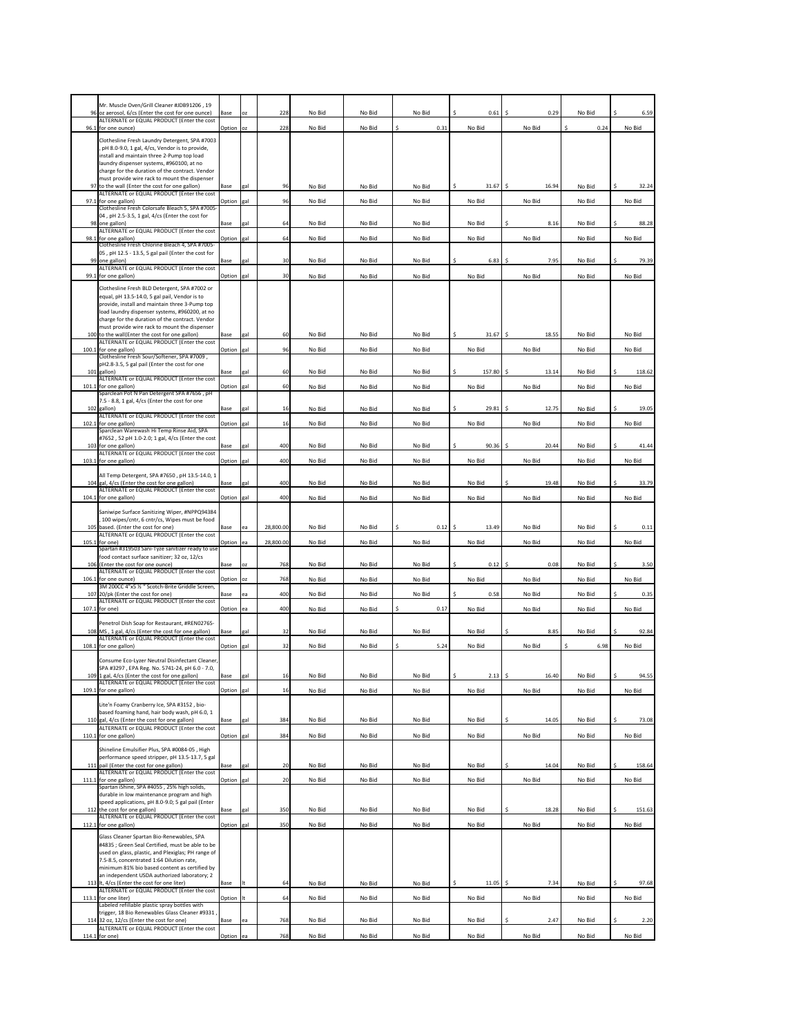|       | Mr. Muscle Oven/Grill Cleaner #JDB91206, 19<br>96 oz aerosol, 6/cs (Enter the cost for one ounce) | Base       | oz        | 228       | No Bid | No Bid | No Bid    | 0.61        | 0.29        | No Bid    | 6.59         |
|-------|---------------------------------------------------------------------------------------------------|------------|-----------|-----------|--------|--------|-----------|-------------|-------------|-----------|--------------|
|       | ALTERNATE or EQUAL PRODUCT (Enter the cost                                                        |            |           |           |        |        |           |             |             |           |              |
|       | 96.1 for one ounce)                                                                               | Option     | <b>OZ</b> | 228       | No Bid | No Bid | Ś<br>0.31 | No Bid      | No Bid      | Ś<br>0.24 | No Bid       |
|       | Clothesline Fresh Laundry Detergent, SPA #7003                                                    |            |           |           |        |        |           |             |             |           |              |
|       | pH 8.0-9.0, 1 gal, 4/cs, Vendor is to provide,                                                    |            |           |           |        |        |           |             |             |           |              |
|       | install and maintain three 2-Pump top load                                                        |            |           |           |        |        |           |             |             |           |              |
|       | laundry dispenser systems, #960100, at no<br>charge for the duration of the contract. Vendor      |            |           |           |        |        |           |             |             |           |              |
|       | must provide wire rack to mount the dispenser                                                     |            |           |           |        |        |           |             |             |           |              |
|       | 97 to the wall (Enter the cost for one gallon)                                                    | Base       | gal       | 96        | No Bid | No Bid | No Bid    | Ś<br>31.67  | \$<br>16.94 | No Bid    | 32.24        |
|       | ALTERNATE or EQUAL PRODUCT (Enter the cost                                                        |            |           |           |        |        |           |             |             |           |              |
|       | 97.1 for one gallon)<br>Clothesline Fresh Colorsafe Bleach 5, SPA #7005                           | Option     | gal       | 96        | No Bid | No Bid | No Bid    | No Bid      | No Bid      | No Bid    | No Bid       |
|       | 04, pH 2.5-3.5, 1 gal, 4/cs (Enter the cost for                                                   |            |           |           |        |        |           |             |             |           |              |
|       | 98 one gallon)                                                                                    | Base       | gal       | 64        | No Bid | No Bid | No Bid    | No Bid      | Ś<br>8.16   | No Bid    | \$<br>88.28  |
|       | ALTERNATE or EQUAL PRODUCT (Enter the cost                                                        |            |           |           |        |        |           |             |             |           |              |
|       | 98.1 for one gallon)<br>Clothesline Fresh Chlorine Bleach 4, SPA #7005-                           | Option gal |           | 64        | No Bid | No Bid | No Bid    | No Bid      | No Bid      | No Bid    | No Bid       |
|       | 05, pH 12.5 - 13.5, 5 gal pail (Enter the cost for                                                |            |           |           |        |        |           |             |             |           |              |
|       | 99 one gallon)                                                                                    | Base       | gal       | 30        | No Bid | No Bid | No Bid    | 6.83        | 7.95        | No Bid    | Ś<br>79.39   |
|       | ALTERNATE or EQUAL PRODUCT (Enter the cost                                                        |            |           |           |        |        |           |             |             |           |              |
| 99.1  | for one gallon)                                                                                   | Option     | gal       | 30        | No Bid | No Bid | No Bid    | No Bid      | No Bid      | No Bid    | No Bid       |
|       | Clothesline Fresh BLD Detergent, SPA #7002 or                                                     |            |           |           |        |        |           |             |             |           |              |
|       | equal, pH 13.5-14.0, 5 gal pail, Vendor is to                                                     |            |           |           |        |        |           |             |             |           |              |
|       | provide, install and maintain three 3-Pump top<br>load laundry dispenser systems, #960200, at no  |            |           |           |        |        |           |             |             |           |              |
|       | charge for the duration of the contract. Vendor                                                   |            |           |           |        |        |           |             |             |           |              |
|       | must provide wire rack to mount the dispenser                                                     |            |           |           |        |        |           |             |             |           |              |
|       | 100 to the wall(Enter the cost for one gallon)                                                    | Base       | gal       | 60        | No Bid | No Bid | No Bid    | 31.67       | 18.55       | No Bid    | No Bid       |
|       | ALTERNATE or EQUAL PRODUCT (Enter the cost<br>100.1 for one gallon)                               |            | gal       | 96        |        |        |           |             |             |           |              |
|       | Clothesline Fresh Sour/Softener, SPA #7009,                                                       | Option     |           |           | No Bid | No Bid | No Bid    | No Bid      | No Bid      | No Bid    | No Bid       |
|       | pH2.8-3.5, 5 gal pail (Enter the cost for one                                                     |            |           |           |        |        |           |             |             |           |              |
|       | 101 gallon)                                                                                       | Base       | gal       | 60        | No Bid | No Bid | No Bid    | 157.80      | Ś<br>13.14  | No Bid    | 118.62<br>Ś  |
|       | ALTERNATE or EQUAL PRODUCT (Enter the cost                                                        | Option     | gal       | 60        | No Bid | No Bid | No Bid    | No Bid      | No Bid      | No Bid    | No Bid       |
|       | 101.1 for one gallon)<br>Sparclean Pot N Pan Detergent SPA #7656, pH                              |            |           |           |        |        |           |             |             |           |              |
|       | 7.5 - 8.8, 1 gal, 4/cs (Enter the cost for one                                                    |            |           |           |        |        |           |             |             |           |              |
|       | 102 gallon)                                                                                       | Base       | gal       | 16        | No Bid | No Bid | No Bid    | Ś<br>29.81  | Ś<br>12.75  | No Bid    | Ś<br>19.05   |
|       | ALTERNATE or EQUAL PRODUCT (Enter the cost                                                        |            | gal       | 16        |        | No Bid | No Bid    | No Bid      | No Bid      | No Bid    | No Bid       |
|       | 102.1 for one gallon)<br>Sparclean Warewash Hi Temp Rinse Aid, SPA                                | Option     |           |           | No Bid |        |           |             |             |           |              |
|       | #7652, 52 pH 1.0-2.0; 1 gal, 4/cs (Enter the cost                                                 |            |           |           |        |        |           |             |             |           |              |
|       | 103 for one gallon)                                                                               | Base       | gal       | 40C       | No Bid | No Bid | No Bid    | Š.<br>90.36 | Ŝ<br>20.44  | No Bid    | 41.44        |
|       | ALTERNATE or EQUAL PRODUCT (Enter the cost                                                        | Option     | gal       | 40C       | No Bid | No Bid | No Bid    | No Bid      | No Bid      | No Bid    | No Bid       |
|       | 103.1 for one gallon)                                                                             |            |           |           |        |        |           |             |             |           |              |
|       | All Temp Detergent, SPA #7650, pH 13.5-14.0, 1                                                    |            |           |           |        |        |           |             |             |           |              |
|       | 104 gal, 4/cs (Enter the cost for one gallon)                                                     | Base       | gal       | 400       | No Bid | No Bid | No Bid    | No Bid      | 19.48<br>Ś  | No Bid    | \$<br>33.79  |
|       | ALTERNATE or EQUAL PRODUCT (Enter the cost<br>104.1 for one gallon)                               | Option gal |           | 400       | No Bid | No Bid | No Bid    | No Bid      | No Bid      | No Bid    | No Bid       |
|       |                                                                                                   |            |           |           |        |        |           |             |             |           |              |
|       | Saniwipe Surface Sanitizing Wiper, #NPPQ94384                                                     |            |           |           |        |        |           |             |             |           |              |
|       | 100 wipes/cntr, 6 cntr/cs, Wipes must be food                                                     |            |           |           |        |        |           |             |             |           |              |
| 105   | based. (Enter the cost for one)<br>ALTERNATE or EQUAL PRODUCT (Enter the cost                     | Base       | ea        | 28,800.00 | No Bid | No Bid | 0.12      | Ś<br>13.49  | No Bid      | No Bid    | Ś<br>0.11    |
|       | 105.1 for one)                                                                                    | Option     | ea        | 28,800.00 | No Bid | No Bid | No Bid    | No Bid      | No Bid      | No Bid    | No Bid       |
|       | Spartan #319503 Sani-Tyze sanitizer ready to use                                                  |            |           |           |        |        |           |             |             |           |              |
|       | food contact surface sanitizer; 32 oz, 12/cs                                                      |            |           |           |        |        |           |             |             |           |              |
| 106   | (Enter the cost for one ounce)<br>ALTERNATE or EQUAL PRODUCT (Enter the cost                      | Base       | oz        | 768       | No Bid | No Bid | No Bid    | \$<br>0.12  | \$<br>0.08  | No Bid    | \$<br>3.50   |
| 106.1 | for one ounce)                                                                                    | Option     | OZ        | 768       | No Bid | No Bid | No Bid    | No Bid      | No Bid      | No Bid    | No Bid       |
|       | 3M 200CC 4"x5 % " Scotch-Brite Griddle Screen,                                                    |            |           |           |        |        |           |             |             |           |              |
| 107   | 20/pk (Enter the cost for one)                                                                    | Base       | ea        | 400       | No Bid | No Bid | No Bid    | \$<br>0.58  | No Bid      | No Bid    | Ś<br>0.35    |
|       | ALTERNATE or EQUAL PRODUCT (Enter the cost<br>107.1 for one)                                      | Option     |           | 400       | No Bid | No Bid | 0.17      | No Bid      | No Bid      | No Bid    | No Bid       |
|       |                                                                                                   |            |           |           |        |        |           |             |             |           |              |
|       | Penetrol Dish Soap for Restaurant, #REN02765-                                                     |            |           |           |        |        |           |             |             |           |              |
|       | 108 MS, 1 gal, 4/cs (Enter the cost for one gallon)                                               | Base       | gal       | 32        | No Bid | No Bid | No Bid    | No Bid      | 8.85<br>Ś   | No Bid    | \$<br>92.84  |
|       | ALTERNATE or EQUAL PRODUCT (Enter the cost<br>108.1 for one gallon)                               | Option gal |           | 32        |        |        | Ś<br>5.24 |             | No Bid      | Ś<br>6.98 | No Bid       |
|       |                                                                                                   |            |           |           | No Bid | No Bid |           | No Bid      |             |           |              |
|       | Consume Eco-Lyzer Neutral Disinfectant Cleaner                                                    |            |           |           |        |        |           |             |             |           |              |
|       | SPA #3297, EPA Reg. No. 5741-24, pH 6.0 - 7.0,                                                    |            |           |           |        |        |           |             |             |           |              |
|       | 109 1 gal, 4/cs (Enter the cost for one gallon)<br>ALTERNATE or EQUAL PRODUCT (Enter the cost     | Base       | gal       | 16        | No Bid | No Bid | No Bid    | 2.13        | Ś<br>16.40  | No Bid    | 94.55        |
|       | 109.1 for one gallon)                                                                             | Option gal |           | 16        | No Bid | No Bid | No Bid    | No Bid      | No Bid      | No Bid    | No Bid       |
|       |                                                                                                   |            |           |           |        |        |           |             |             |           |              |
|       | Lite'n Foamy Cranberry Ice, SPA #3152, bio-                                                       |            |           |           |        |        |           |             |             |           |              |
|       | based foaming hand, hair body wash, pH 6.0, 1<br>110 gal, 4/cs (Enter the cost for one gallon)    | Base       | gal       | 384       | No Bid | No Bid | No Bid    | No Bid      | 14.05       | No Bid    | 73.08        |
|       | ALTERNATE or EQUAL PRODUCT (Enter the cost                                                        |            |           |           |        |        |           |             |             |           |              |
|       | 110.1 for one gallon)                                                                             | Option     | gal       | 384       | No Bid | No Bid | No Bid    | No Bid      | No Bid      | No Bid    | No Bid       |
|       | Shineline Emulsifier Plus, SPA #0084-05, High                                                     |            |           |           |        |        |           |             |             |           |              |
|       | performance speed stripper, pH 13.5-13.7, 5 gal                                                   |            |           |           |        |        |           |             |             |           |              |
|       | 111 pail (Enter the cost for one gallon)                                                          | Base       | gal       | 20        | No Bid | No Bid | No Bid    | No Bid      | \$<br>14.04 | No Bid    | \$<br>158.64 |
|       | ALTERNATE or EQUAL PRODUCT (Enter the cost                                                        |            |           |           |        |        |           |             |             |           |              |
|       | 111.1 for one gallon)<br>Spartan iShine, SPA #4055, 25% high solids,                              | Option gal |           | 20        | No Bid | No Bid | No Bid    | No Bid      | No Bid      | No Bid    | No Bid       |
|       | durable in low maintenance program and high                                                       |            |           |           |        |        |           |             |             |           |              |
|       | speed applications, pH 8.0-9.0; 5 gal pail (Enter                                                 |            |           |           |        |        |           |             |             |           |              |
|       | 112 the cost for one gallon)                                                                      | Base       | gal       | 350       | No Bid | No Bid | No Bid    | No Bid      | 18.28       | No Bid    | 151.63       |
|       | ALTERNATE or EQUAL PRODUCT (Enter the cost<br>112.1 for one gallon)                               | Option gal |           | 350       |        |        |           |             | No Bid      |           |              |
|       |                                                                                                   |            |           |           | No Bid | No Bid | No Bid    | No Bid      |             | No Bid    | No Bid       |
|       | Glass Cleaner Spartan Bio-Renewables, SPA                                                         |            |           |           |        |        |           |             |             |           |              |
|       | #4835 ; Green Seal Certified, must be able to be                                                  |            |           |           |        |        |           |             |             |           |              |
|       | used on glass, plastic, and Plexiglas; PH range of<br>7.5-8.5, concentrated 1:64 Dilution rate,   |            |           |           |        |        |           |             |             |           |              |
|       | minimum 81% bio based content as certified by                                                     |            |           |           |        |        |           |             |             |           |              |
|       | an independent USDA authorized laboratory; 2                                                      |            |           |           |        |        |           |             |             |           |              |
|       | 113 It, 4/cs (Enter the cost for one liter)                                                       | Base       |           | 64        | No Bid | No Bid | No Bid    | Ś<br>11.05  | \$<br>7.34  | No Bid    | \$<br>97.68  |
|       | ALTERNATE or EQUAL PRODUCT (Enter the cost<br>113.1 for one liter)                                | Option     | It        | 64        | No Bid | No Bid | No Bid    | No Bid      | No Bid      | No Bid    | No Bid       |
|       | Labeled refillable plastic spray bottles with                                                     |            |           |           |        |        |           |             |             |           |              |
|       | trigger, 18 Bio Renewables Glass Cleaner #9331,                                                   |            |           |           |        |        |           |             |             |           |              |
| 114   | 32 oz, 12/cs (Enter the cost for one)                                                             | Base       | ea        | 768       | No Bid | No Bid | No Bid    | No Bid      | Ś<br>2.47   | No Bid    | \$<br>2.20   |
|       | ALTERNATE or EQUAL PRODUCT (Enter the cost<br>114.1 for one)                                      | Option     | ea        | 768       | No Bid | No Bid | No Bid    | No Bid      | No Bid      | No Bid    | No Bid       |
|       |                                                                                                   |            |           |           |        |        |           |             |             |           |              |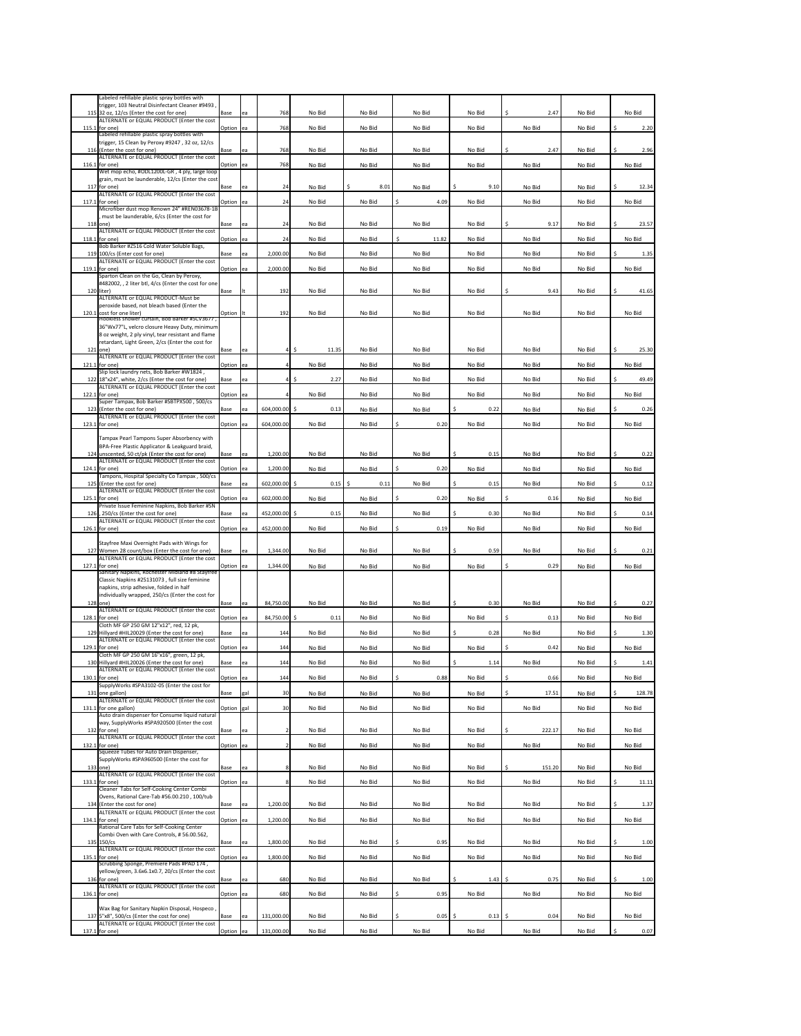|       | Labeled refillable plastic spray bottles with                                                              |                |     |                |                  |                  |           |            |             |                  |                |
|-------|------------------------------------------------------------------------------------------------------------|----------------|-----|----------------|------------------|------------------|-----------|------------|-------------|------------------|----------------|
|       | trigger, 103 Neutral Disinfectant Cleaner #9493,                                                           |                |     |                |                  |                  |           |            |             |                  |                |
| 115   | 32 oz, 12/cs (Enter the cost for one)                                                                      | Base           | ea  | 768            | No Bid           | No Bid           | No Bid    | No Bid     | 2.47        | No Bid           | No Bid         |
|       | ALTERNATE or EQUAL PRODUCT (Enter the cost                                                                 |                | ea  | 768            | No Bid           | No Bid           | No Bid    | No Bid     | No Bid      | No Bid           | Ś<br>2.20      |
|       | 115.1 for one)<br>Labeled refillable plastic spray bottles with                                            | Option         |     |                |                  |                  |           |            |             |                  |                |
|       | trigger, 15 Clean by Peroxy #9247, 32 oz, 12/cs                                                            |                |     |                |                  |                  |           |            |             |                  |                |
|       | 116 (Enter the cost for one)                                                                               | Base           | ea  | 768            | No Bid           | No Bid           | No Bid    | No Bid     | \$<br>2.47  | No Bid           | \$<br>2.96     |
|       | ALTERNATE or EQUAL PRODUCT (Enter the cost                                                                 |                |     |                |                  | No Bid           |           | No Bid     | No Bid      |                  | No Bid         |
|       | 116.1 for one)<br>Wet mop echo, #ODL1200L-GR, 4 ply, large loop                                            | Option         | lea | 768            | No Bid           |                  | No Bid    |            |             | No Bid           |                |
|       | grain, must be launderable, 12/cs (Enter the cost                                                          |                |     |                |                  |                  |           |            |             |                  |                |
|       | 117 for one)                                                                                               | Base           | ea  | 24             | No Bid           | 8.01             | No Bid    | 9.10       | No Bid      | No Bid           | Ś<br>12.34     |
|       | ALTERNATE or EQUAL PRODUCT (Enter the cost                                                                 |                |     |                |                  |                  |           |            |             |                  |                |
|       | 117.1 for one)<br>Microfiber dust mop Renown 24" #REN03678-1B                                              | Option         | ea  | 24             | No Bid           | No Bid           | Ś<br>4.09 | No Bid     | No Bid      | No Bid           | No Bid         |
|       | must be launderable, 6/cs (Enter the cost for                                                              |                |     |                |                  |                  |           |            |             |                  |                |
| 118   | one)                                                                                                       | Base           | ea  | 24             | No Bid           | No Bid           | No Bid    | No Bid     | 9.17<br>Ŝ   | No Bid           | 23.57<br>Ś.    |
|       | ALTERNATE or EQUAL PRODUCT (Enter the cost                                                                 |                |     |                |                  |                  |           |            |             |                  |                |
|       | 118.1 for one)                                                                                             | Option         | ea  | 24             | No Bid           | No Bid           | 11.82     | No Bid     | No Bid      | No Bid           | No Bid         |
|       | Bob Barker #Z516 Cold Water Soluble Bags,                                                                  |                |     |                |                  |                  |           |            |             |                  | \$             |
|       | 119 100/cs (Enter cost for one)<br>ALTERNATE or EQUAL PRODUCT (Enter the cost                              | Base           | ea  | 2,000.00       | No Bid           | No Bid           | No Bid    | No Bid     | No Bid      | No Bid           | 1.35           |
|       | 119.1 for one)                                                                                             | Option         | ea  | 2,000.00       | No Bid           | No Bid           | No Bid    | No Bid     | No Bid      | No Bid           | No Bid         |
|       | Sparton Clean on the Go, Clean by Peroxy,                                                                  |                |     |                |                  |                  |           |            |             |                  |                |
|       | #482002, , 2 liter btl, 4/cs (Enter the cost for one                                                       |                |     |                |                  |                  |           |            |             |                  |                |
|       | 120 liter)<br>ALTERNATE or EQUAL PRODUCT-Must be                                                           | Base           | It  | 192            | No Bid           | No Bid           | No Bid    | No Bid     | 9.43        | No Bid           | Ś.<br>41.65    |
|       | peroxide based, not bleach based (Enter the                                                                |                |     |                |                  |                  |           |            |             |                  |                |
| 120.1 | cost for one liter)                                                                                        | Option         |     | 192            | No Bid           | No Bid           | No Bid    | No Bid     | No Bid      | No Bid           | No Bid         |
|       | Hookless shower curtain, Bob Barker #SCV3677                                                               |                |     |                |                  |                  |           |            |             |                  |                |
|       | 36"Wx77"L, velcro closure Heavy Duty, minimum                                                              |                |     |                |                  |                  |           |            |             |                  |                |
|       | 8 oz weight, 2 ply vinyl, tear resistant and flame                                                         |                |     |                |                  |                  |           |            |             |                  |                |
| 121   | retardant, Light Green, 2/cs (Enter the cost for<br>one)                                                   | Base           | ea  | $\overline{4}$ | Ś<br>11.35       | No Bid           | No Bid    | No Bid     | No Bid      | No Bid           | 25.30          |
|       | ALTERNATE or EQUAL PRODUCT (Enter the cost                                                                 |                |     |                |                  |                  |           |            |             |                  |                |
|       | 121.1 for one)                                                                                             | Option         | ea  | $\overline{4}$ | No Bid           | No Bid           | No Bid    | No Bid     | No Bid      | No Bid           | No Bid         |
|       | Slip lock laundry nets, Bob Barker #W1824,                                                                 |                |     |                |                  |                  |           |            |             |                  |                |
| 122   | 18"x24", white, 2/cs (Enter the cost for one)<br>ALTERNATE or EQUAL PRODUCT (Enter the cost                | Base           | ea  | 4              | \$<br>2.27       | No Bid           | No Bid    | No Bid     | No Bid      | No Bid           | 49.49          |
| 122.1 | for one)                                                                                                   | Option         | ea  |                | No Bid           | No Bid           | No Bid    | No Bid     | No Bid      | No Bid           | No Bid         |
|       | Super Tampax, Bob Barker #SBTPX500, 500/cs                                                                 |                |     |                |                  |                  |           |            |             |                  |                |
| 123   | (Enter the cost for one)                                                                                   | Base           | ea  | 604,000.00     | \$<br>0.13       | No Bid           | No Bid    | Ś<br>0.22  | No Bid      | No Bid           | Ś<br>0.26      |
|       | ALTERNATE or EQUAL PRODUCT (Enter the cost                                                                 |                |     |                |                  |                  |           |            |             |                  |                |
|       | 123.1 for one)                                                                                             | Option ea      |     | 604,000.00     | No Bid           | No Bid           | Ŝ<br>0.20 | No Bid     | No Bid      | No Bid           | No Bid         |
|       | Tampax Pearl Tampons Super Absorbency with                                                                 |                |     |                |                  |                  |           |            |             |                  |                |
|       | BPA-Free Plastic Applicator & Leakguard braid,                                                             |                |     |                |                  |                  |           |            |             |                  |                |
|       | 124 unscented, 50 ct/pk (Enter the cost for one)                                                           | Base           | ea  | 1,200.00       | No Bid           | No Bid           | No Bid    | Ś<br>0.15  | No Bid      | No Bid           | 0.22<br>Ś.     |
|       | ALTERNATE or EQUAL PRODUCT (Enter the cost                                                                 |                |     |                |                  |                  |           |            |             |                  |                |
|       | 124.1 for one)                                                                                             | Option         | ea  | 1,200.00       | No Bid           | No Bid           | 0.20<br>Ś | No Bid     | No Bid      | No Bid           | No Bid         |
|       | Tampons, Hospital Specialty Co Tampax, 500/cs<br>125 (Enter the cost for one)                              | Base           | ea  | 602,000.00     | \$<br>0.15       | \$<br>0.11       | No Bid    | Ś<br>0.15  | No Bid      | No Bid           | \$<br>0.12     |
|       | ALTERNATE or EQUAL PRODUCT (Enter the cost                                                                 |                |     |                |                  |                  |           |            |             |                  |                |
|       | 125.1 for one)                                                                                             | Option         | ea  | 602,000.00     | No Bid           | No Bid           | 0.20<br>Ś | No Bid     | Ś<br>0.16   | No Bid           | No Bid         |
|       | Private Issue Feminine Napkins, Bob Barker #SN                                                             |                |     |                |                  |                  |           |            |             |                  |                |
| 126   | 250/cs (Enter the cost for one)                                                                            | Base           | ea  | 452,000.00     | 0.15<br>\$       | No Bid           | No Bid    | 0.30       | No Bid      | No Bid           | 0.14           |
|       | ALTERNATE or EQUAL PRODUCT (Enter the cost                                                                 |                |     |                |                  |                  |           |            |             |                  |                |
|       | 126.1 for one)                                                                                             | Option         | ea  | 452,000.00     | No Bid           | No Bid           | 0.19      | No Bid     | No Bid      | No Bid           | No Bid         |
|       | Stayfree Maxi Overnight Pads with Wings for                                                                |                |     |                |                  |                  |           |            |             |                  |                |
|       | 127 Women 28 count/box (Enter the cost for one)                                                            | Base           | ea  | 1,344.00       | No Bid           | No Bid           | No Bid    | 0.59<br>Ś  | No Bid      | No Bid           | Ś.<br>0.21     |
|       | ALTERNATE or EQUAL PRODUCT (Enter the cost                                                                 |                |     |                |                  |                  |           |            |             |                  |                |
|       | 127.1 for one)                                                                                             | Option         | ea  | 1,344.00       | No Bid           | No Bid           | No Bid    | No Bid     | \$<br>0.29  | No Bid           | No Bid         |
|       | Sanitary Napkins, Rochester Midland #8 Stayfree<br>Classic Napkins #25131073, full size feminine           |                |     |                |                  |                  |           |            |             |                  |                |
|       | napkins, strip adhesive, folded in half                                                                    |                |     |                |                  |                  |           |            |             |                  |                |
|       | individually wrapped, 250/cs (Enter the cost for                                                           |                |     |                |                  |                  |           |            |             |                  |                |
|       | 128 one)                                                                                                   | Base           | ea  | 84,750.00      | No Bid           | No Bid           | No Bid    | Ś<br>0.30  | No Bid      | No Bid           | Ś.<br>0.27     |
|       | ALTERNATE or EQUAL PRODUCT (Enter the cost                                                                 |                |     |                |                  |                  |           |            |             |                  |                |
|       | 128.1 for one)                                                                                             | Option         | ea  | 84,750.00      | Ś<br>0.11        | No Bid           | No Bid    | No Bid     | Ś<br>0.13   | No Bid           | No Bid         |
|       | Cloth MF GP 250 GM 12"x12", red, 12 pk,<br>129 Hillyard #HIL20029 (Enter the cost for one)                 |                | ea  | 144            | No Bid           |                  |           | 0.28<br>Ś  | No Bid      |                  | \$             |
|       | ALTERNATE or EQUAL PRODUCT (Enter the cost                                                                 | Base           |     |                |                  | No Bid           | No Bid    |            |             | No Bid           | 1.30           |
|       | 129.1 for one)                                                                                             | Option         | ea  | 144            | No Bid           | No Bid           | No Bid    | No Bid     | Ś<br>0.42   | No Bid           | No Bid         |
|       | Cloth MF GP 250 GM 16"x16", green, 12 pk,                                                                  |                |     |                |                  |                  |           |            |             |                  |                |
|       | 130 Hillvard #HIL20026 (Enter the cost for one)                                                            | Base           | ea  | 144            | No Bid           | No Bid           | No Bid    | 1.14       | No Bid      | No Bid           | \$<br>1.41     |
|       | ALTERNATE or EQUAL PRODUCT (Enter the cost<br>'or one)                                                     |                |     | 144            | No Bid           |                  |           | No Bid     | 0.66        | No Bid           | No Bid         |
|       | SupplyWorks #SPA3102-05 (Enter the cost for                                                                |                |     |                |                  | <b>NO RIC</b>    |           |            |             |                  |                |
| 131   | one gallon)                                                                                                | Base           | gal | 30             | No Bid           | No Bid           | No Bid    | No Bid     | \$<br>17.51 | No Bid           | 128.78<br>Ś    |
|       | ALTERNATE or EQUAL PRODUCT (Enter the cost                                                                 |                |     |                |                  |                  |           |            |             |                  |                |
|       | 131.1 for one gallon)<br>Auto drain dispenser for Consume liquid natural                                   | Option         | gal | 30             | No Bid           | No Bid           | No Bid    | No Bid     | No Bid      | No Bid           | No Bid         |
|       | way, SupplyWorks #SPA920500 (Enter the cost                                                                |                |     |                |                  |                  |           |            |             |                  |                |
|       | 132 for one)                                                                                               |                | ea  |                | No Bid           | No Bid           | No Bid    |            |             | No Bid           | No Bid         |
|       |                                                                                                            |                |     |                |                  |                  |           |            | 222.17      |                  |                |
|       | ALTERNATE or EQUAL PRODUCT (Enter the cost                                                                 | Base           |     |                |                  |                  |           | No Bid     | \$          |                  |                |
|       | 132.1 for one)                                                                                             | Option         | ea  | $\overline{2}$ | No Bid           | No Bid           | No Bid    | No Bid     | No Bid      | No Bid           | No Bid         |
|       | Squeeze Tubes for Auto Drain Dispenser,                                                                    |                |     |                |                  |                  |           |            |             |                  |                |
|       | SupplyWorks #SPA960500 (Enter the cost for                                                                 |                |     |                |                  |                  |           |            |             |                  |                |
| 133   | one)<br>ALTERNATE or EQUAL PRODUCT (Enter the cost                                                         | Base           | ea  |                | No Bid           | No Bid           | No Bid    | No Bid     | Ś<br>151.20 | No Bid           | No Bid         |
|       | 133.1 for one)                                                                                             | Option         | ea  |                | No Bid           | No Bid           | No Bid    | No Bid     | No Bid      | No Bid           | 11.11          |
|       | Cleaner Tabs for Self-Cooking Center Combi                                                                 |                |     |                |                  |                  |           |            |             |                  |                |
|       | Ovens, Rational Care-Tab #56.00.210, 100/tub                                                               |                |     |                |                  |                  |           |            |             |                  |                |
| 134   | (Enter the cost for one)                                                                                   | Base           | ea  | 1,200.00       | No Bid           | No Bid           | No Bid    | No Bid     | No Bid      | No Bid           | \$<br>1.37     |
|       | ALTERNATE or EQUAL PRODUCT (Enter the cost                                                                 |                |     |                |                  |                  |           |            |             |                  |                |
|       | 134.1 for one)<br>Rational Care Tabs for Self-Cooking Center                                               | Option ea      |     | 1,200.00       | No Bid           | No Bid           | No Bid    | No Bid     | No Bid      | No Bid           | No Bid         |
|       | Combi Oven with Care Controls, #56.00.562,                                                                 |                |     |                |                  |                  |           |            |             |                  |                |
| 135   | 150/cs                                                                                                     | Base           | ea  | 1,800.00       | No Bid           | No Bid           | 0.95      | No Bid     | No Bid      | No Bid           | \$<br>1.00     |
|       | ALTERNATE or EQUAL PRODUCT (Enter the cost                                                                 |                |     |                |                  |                  |           |            |             |                  |                |
|       | 135.1 for one)                                                                                             | Option         | ea  | 1,800.00       | No Bid           | No Bid           | No Bid    | No Bid     | No Bid      | No Bid           | No Bid         |
|       | Scrubbing Sponge, Premiere Pads #PAD 174,<br>yellow/green, 3.6x6.1x0.7, 20/cs (Enter the cost              |                |     |                |                  |                  |           |            |             |                  |                |
|       | 136 for one)                                                                                               | Base           | ea  | 680            | No Bid           | No Bid           | No Bid    | Ś<br>1.43  | \$<br>0.75  | No Bid           | Ś<br>1.00      |
|       | ALTERNATE or EQUAL PRODUCT (Enter the cost                                                                 |                |     |                |                  |                  |           |            |             |                  |                |
|       | 136.1 for one)                                                                                             | Option         | ea  | 680            | No Bid           | No Bid           | Ś<br>0.95 | No Bid     | No Bid      | No Bid           | No Bid         |
|       |                                                                                                            |                |     |                |                  |                  |           |            |             |                  |                |
|       | Wax Bag for Sanitary Napkin Disposal, Hospeco,                                                             |                | ea  | 131,000.00     |                  |                  | Ś<br>0.05 | \$<br>0.13 | \$<br>0.04  |                  |                |
|       | 137 5"x8", 500/cs (Enter the cost for one)<br>ALTERNATE or EQUAL PRODUCT (Enter the cost<br>137.1 for one) | Base<br>Option |     | 131,000.00     | No Bid<br>No Bid | No Bid<br>No Bid | No Bid    | No Bid     | No Bid      | No Bid<br>No Bid | No Bid<br>0.07 |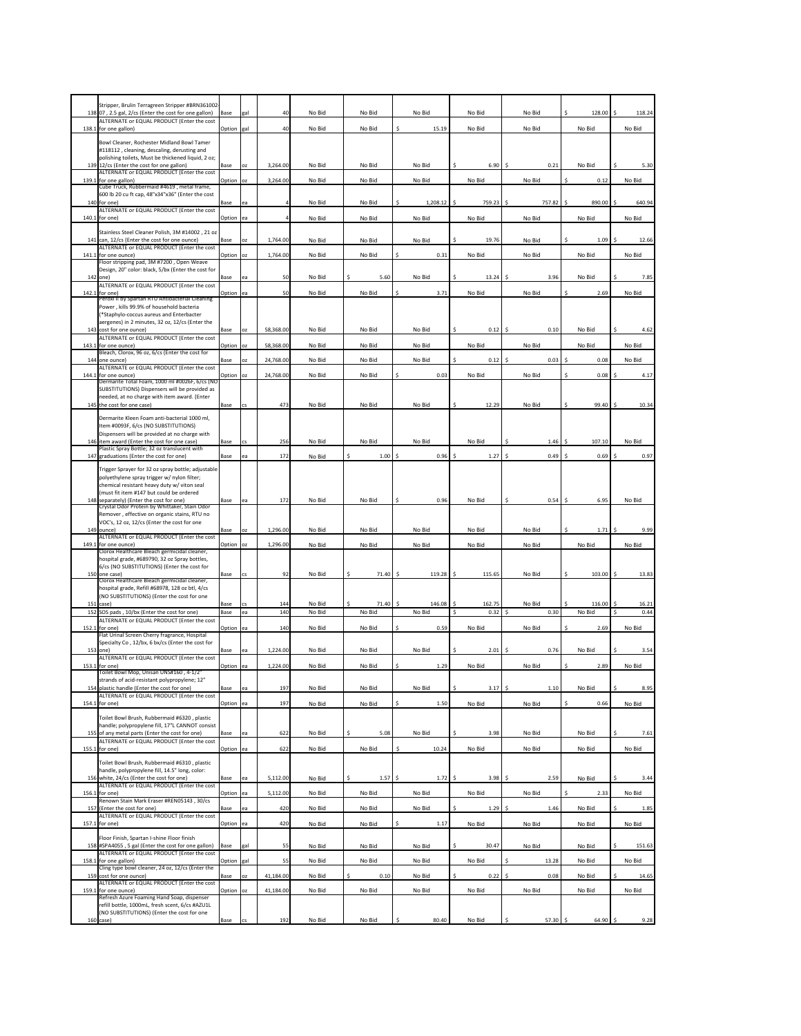|       | Stripper, Brulin Terragreen Stripper #BRN361002                                                     |            |           |           |        |             |                  |             |             |            |              |
|-------|-----------------------------------------------------------------------------------------------------|------------|-----------|-----------|--------|-------------|------------------|-------------|-------------|------------|--------------|
|       | 138 07, 2.5 gal, 2/cs (Enter the cost for one gallon)<br>ALTERNATE or EQUAL PRODUCT (Enter the cost | Base       | gal       | 40        | No Bid | No Bid      | No Bid           | No Bid      | No Bid      | 128.00     | 118.24       |
|       | 138.1 for one gallon)                                                                               | Option gal |           | 40        | No Bid | No Bid      | 15.19            | No Bid      | No Bid      | No Bid     | No Bid       |
|       | Bowl Cleaner, Rochester Midland Bowl Tamer                                                          |            |           |           |        |             |                  |             |             |            |              |
|       | #118112, cleaning, descaling, derusting and                                                         |            |           |           |        |             |                  |             |             |            |              |
| 139   | polishing toilets, Must be thickened liquid, 2 oz;<br>12/cs (Enter the cost for one gallon)         | Base       |           | 3,264.00  | No Bid | No Bid      | No Bid           | 6.90        | 0.21        | No Bid     | 5.30         |
|       | ALTERNATE or EQUAL PRODUCT (Enter the cost                                                          |            |           |           |        |             |                  |             |             |            |              |
| 139.1 | for one gallon)<br>Cube Truck, Rubbermaid #4619, metal frame,                                       | Option     | 07        | 3,264.00  | No Bid | No Bid      | No Bid           | No Bid      | No Bid      | 0.12       | No Bid       |
|       | 600 lb 20 cu ft cap, 48"x34"x36" (Enter the cost                                                    |            |           |           |        |             |                  |             |             |            |              |
| 140   | for one)                                                                                            | Base       | ea        |           | No Bid | No Bid      | 1,208.12         | 759.23<br>Ŝ | 757.82      | 890.00     | 640.94<br>\$ |
|       | ALTERNATE or EQUAL PRODUCT (Enter the cost<br>140.1 for one)                                        | Option ea  |           |           | No Bid | No Bid      | No Bid           | No Bid      | No Bid      | No Bid     | No Bid       |
|       |                                                                                                     |            |           |           |        |             |                  |             |             |            |              |
| 141   | Stainless Steel Cleaner Polish, 3M #14002, 21 oz<br>can, 12/cs (Enter the cost for one ounce)       | Base       | <b>OZ</b> | 1,764.00  | No Bid | No Bid      | No Bid           | 19.76       | No Bid      | 1.09       | 12.66        |
|       | ALTERNATE or EQUAL PRODUCT (Enter the cost                                                          |            |           |           |        |             |                  |             |             |            |              |
|       | 141.1 for one ounce)<br>Floor stripping pad, 3M #7200, Open Weave                                   | Option oz  |           | 1,764.00  | No Bid | No Bid      | 0.31             | No Bid      | No Bid      | No Bid     | No Bid       |
|       | Design, 20" color: black, 5/bx (Enter the cost for                                                  |            |           |           |        |             |                  |             |             |            |              |
| 142   | one)                                                                                                | Base       | ea        | 50        | No Bid | 5.60<br>Ś   | No Bid           | \$<br>13.24 | 3.96<br>Ŝ   | No Bid     | \$<br>7.85   |
| 142.1 | ALTERNATE or EQUAL PRODUCT (Enter the cost<br>for one)                                              | Option ea  |           | 50        | No Bid | No Bid      | 3.71             | No Bid      | No Bid      | \$<br>2.69 | No Bid       |
|       | Peroxi II by Spartan RTU Antibacterial Cleaning                                                     |            |           |           |        |             |                  |             |             |            |              |
|       | Power, kills 99.9% of household bacteria<br>*Staphylo-coccus aureus and Enterbacter                 |            |           |           |        |             |                  |             |             |            |              |
|       | aergenes) in 2 minutes, 32 oz, 12/cs (Enter the                                                     |            |           |           |        |             |                  |             |             |            |              |
| 143   | cost for one ounce)<br>ALTERNATE or EQUAL PRODUCT (Enter the cost                                   | Base       | oz        | 58,368.00 | No Bid | No Bid      | No Bid           | 0.12        | 0.10        | No Bid     | 4.62         |
| 143.1 | for one ounce)                                                                                      | Option     | oz        | 58,368.00 | No Bid | No Bid      | No Bid           | No Bid      | No Bid      | No Bid     | No Bid       |
|       | Bleach, Clorox, 96 oz, 6/cs (Enter the cost for                                                     |            |           |           |        |             |                  |             | <b>S</b>    |            |              |
| 144   | one ounce)<br>ALTERNATE or EQUAL PRODUCT (Enter the cost                                            | Base       | oz        | 24,768.00 | No Bid | No Bid      | No Bid           | \$<br>0.12  | 0.03        | 0.08<br>Ŝ  | No Bid       |
| 144.1 | for one ounce)                                                                                      | Option oz  |           | 24,768.00 | No Bid | No Bid      | 0.03             | No Bid      | No Bid      | 0.08       | 4.17<br>Ś    |
|       | Dermarite Total Foam, 1000 ml #0026F, 6/cs (NO<br>SUBSTITUTIONS) Dispensers will be provided as     |            |           |           |        |             |                  |             |             |            |              |
|       | needed, at no charge with item award. (Enter                                                        |            |           |           |        |             |                  |             |             |            |              |
|       | 145 the cost for one case)                                                                          | Base       |           | 473       | No Bid | No Bid      | No Bid           | 12.29       | No Bid      | 99.40      | 10.34        |
|       | Dermarite Kleen Foam anti-bacterial 1000 ml,                                                        |            |           |           |        |             |                  |             |             |            |              |
|       | Item #0093F, 6/cs (NO SUBSTITUTIONS)<br>Dispensers will be provided at no charge with               |            |           |           |        |             |                  |             |             |            |              |
| 146   | item award (Enter the cost for one case)                                                            | Base       | cs        | 256       | No Bid | No Bid      | No Bid           | No Bid      | 1.46        | 107.10     | No Bid       |
| 147   | Plastic Spray Bottle; 32 oz translucent with<br>graduations (Enter the cost for one)                | Base       |           | 172       | No Bid | Ś<br>1.00   | 0.96<br><b>S</b> | Ś<br>1.27   | \$<br>0.49  | 0.69<br>\$ | Ś<br>0.97    |
|       |                                                                                                     |            | ea        |           |        |             |                  |             |             |            |              |
|       | Trigger Sprayer for 32 oz spray bottle; adjustable<br>polyethylene spray trigger w/ nylon filter;   |            |           |           |        |             |                  |             |             |            |              |
|       | chemical resistant heavy duty w/ viton seal                                                         |            |           |           |        |             |                  |             |             |            |              |
|       | (must fit item #147 but could be ordered                                                            |            |           |           |        |             |                  |             |             |            |              |
|       | 148 separately) (Enter the cost for one)<br>Crystal Odor Protein by Whittaker, Stain Odor           | Base       | ea        | 172       | No Bid | No Bid      | 0.96             | No Bid      | 0.54        | 6.95       | No Bid       |
|       | Remover, effective on organic stains, RTU no                                                        |            |           |           |        |             |                  |             |             |            |              |
| 149   | VOC's, 12 oz, 12/cs (Enter the cost for one<br>ounce)                                               | Base       | oz        | 1,296.00  | No Bid | No Bid      | No Bid           | No Bid      | No Bid      | 1.71       | Ś<br>9.99    |
|       | ALTERNATE or EQUAL PRODUCT (Enter the cost                                                          |            |           |           |        |             |                  |             |             |            |              |
| 149.1 | for one ounce)<br>Clorox Healthcare Bleach germicidal cleaner,                                      | Option     | loz       | 1,296.00  | No Bid | No Bid      | No Bid           | No Bid      | No Bid      | No Bid     | No Bid       |
|       | hospital grade, #689790, 32 oz Spray bottles,                                                       |            |           |           |        |             |                  |             |             |            |              |
| 150   | 6/cs (NO SUBSTITUTIONS) (Enter the cost for                                                         |            |           |           |        | Š.          | .S               |             |             |            |              |
|       | one case)<br>Clorox Healthcare Bleach germicidal cleaner,                                           | Base       | cs        | 92        | No Bid | 71.40       | 119.28           | 115.65<br>Ŝ | No Bid      | 103.00     | \$<br>13.83  |
|       | hospital grade, Refill #68978, 128 oz btl, 4/cs                                                     |            |           |           |        |             |                  |             |             |            |              |
| 151   | (NO SUBSTITUTIONS) (Enter the cost for one<br>case)                                                 | Base       | <b>CS</b> | 144       | No Bid | 71.40<br>Š. | 146.08           | 162.75      | No Bid      | 116.00     | \$<br>16.21  |
|       | 152 SOS pads, 10/bx (Enter the cost for one)                                                        | Base       | ea        | 140       | No Bid | No Bid      | No Bid           | 0.32<br>Ś   | 0.30        | No Bid     | \$<br>0.44   |
| 152.1 | ALTERNATE or EQUAL PRODUCT (Enter the cost<br>for one)                                              | Option     | ea        | 140       | No Bid | No Bid      | 0.59             | No Bid      | No Bid      | 2.69       | No Bid       |
|       | Flat Urinal Screen Cherry fragrance, Hospital                                                       |            |           |           |        |             |                  |             |             |            |              |
|       | Specialty Co, 12/bx, 6 bx/cs (Enter the cost for                                                    |            |           |           |        |             |                  |             |             |            |              |
| 153   | one)<br>ALTERNATE or EQUAL PRODUCT (Enter the cost                                                  | Base       | ea        | 1,224.00  | No Bid | No Bid      | No Bid           | Ś<br>2.01   | 0.76        | No Bid     | 3.54         |
| 153.1 | for one)                                                                                            | Option     | ea        | 1,224.00  | No Bid | No Bid      | 1.29             | No Bid      | No Bid      | 2.89       | No Bid       |
|       | Toilet Bowl Mop, Unisan UNS#160, 4-1/2'<br>strands of acid-resistant polypropylene; 12'             |            |           |           |        |             |                  |             |             |            |              |
|       | 154 plastic handle (Enter the cost for one)                                                         | Base       | ea        | 197       | No Bid | No Bid      | No Bid           | \$<br>3.17  | 1.10        | No Bid     | 8.95         |
|       | ALTERNATE or EQUAL PRODUCT (Enter the cost<br>154.1 for one)                                        | Option ea  |           | 197       | No Bid | No Bid      | 1.50             | No Bid      | No Bid      | Ś<br>0.66  | No Bid       |
|       |                                                                                                     |            |           |           |        |             |                  |             |             |            |              |
|       | Toilet Bowl Brush, Rubbermaid #6320, plastic<br>handle; polypropylene fill, 17"L CANNOT consist     |            |           |           |        |             |                  |             |             |            |              |
| 155   | of any metal parts (Enter the cost for one)                                                         | Base       | ea        | 622       | No Bid | Ś<br>5.08   | No Bid           | \$<br>3.98  | No Bid      | No Bid     | Ś<br>7.61    |
|       | ALTERNATE or EQUAL PRODUCT (Enter the cost                                                          |            |           |           |        |             |                  |             |             |            |              |
|       | 155.1 for one)                                                                                      | Option ea  |           | 622       | No Bid | No Bid      | Ś<br>10.24       | No Bid      | No Bid      | No Bid     | No Bid       |
|       | Toilet Bowl Brush, Rubbermaid #6310, plastic                                                        |            |           |           |        |             |                  |             |             |            |              |
| 156   | handle, polypropylene fill, 14.5" long, color:<br>white, 24/cs (Enter the cost for one)             | Base       | ea        | 5,112.00  | No Bid | \$<br>1.57  | 1.72<br>\$       | \$<br>3.98  | Š.<br>2.59  | No Bid     | Ś<br>3.44    |
|       | ALTERNATE or EQUAL PRODUCT (Enter the cost                                                          |            |           |           |        |             |                  |             |             |            |              |
| 156.1 | for one)<br>Renown Stain Mark Eraser #REN05143, 30/cs                                               | Option     | ea        | 5,112.00  | No Bid | No Bid      | No Bid           | No Bid      | No Bid      | Ś<br>2.33  | No Bid       |
| 157   | (Enter the cost for one)                                                                            | Base       | ea        | 420       | No Bid | No Bid      | No Bid           | Ś<br>1.29   | 1.46<br>Ŝ   | No Bid     | Ś<br>1.85    |
|       | ALTERNATE or EQUAL PRODUCT (Enter the cost                                                          |            |           |           |        |             |                  |             |             |            |              |
| 157.1 | for one)                                                                                            | Option ea  |           | 420       | No Bid | No Bid      | 1.17             | No Bid      | No Bid      | No Bid     | No Bid       |
|       | Floor Finish, Spartan I-shine Floor finish                                                          |            |           |           |        |             |                  |             |             |            |              |
|       | 158 #SPA4055, 5 gal (Enter the cost for one gallon)<br>ALTERNATE or EQUAL PRODUCT (Enter the cost   | Base       | gal       | 55        | No Bid | No Bid      | No Bid           | Ś<br>30.47  | No Bid      | No Bid     | \$<br>151.63 |
| 158.1 | for one gallon)                                                                                     | Option gal |           | 55        | No Bid | No Bid      | No Bid           | No Bid      | Ś<br>13.28  | No Bid     | No Bid       |
| 159   | Cling type bowl cleaner, 24 oz, 12/cs (Enter the<br>cost for one ounce)                             | Base       | <b>OZ</b> | 41,184.00 | No Bid | 0.10        | No Bid           | 0.22<br>Ś   | 0.08        | No Bid     |              |
|       | ALTERNATE or EQUAL PRODUCT (Enter the cost                                                          |            |           |           |        |             |                  |             |             |            | 14.65        |
|       |                                                                                                     |            |           |           |        |             |                  |             |             |            |              |
|       | 159.1 for one ounce)                                                                                | Option oz  |           | 41,184.00 | No Bid | No Bid      | No Bid           | No Bid      | No Bid      | No Bid     | No Bid       |
|       | Refresh Azure Foaming Hand Soap, dispenser<br>refill bottle, 1000mL, fresh scent, 6/cs #AZU1L       |            |           |           |        |             |                  |             |             |            |              |
|       | (NO SUBSTITUTIONS) (Enter the cost for one<br>160 case)                                             | Base       | cs        | 192       | No Bid | No Bid      | \$<br>80.40      | No Bid      | \$<br>57.30 | 64.90<br>Ŝ | \$<br>9.28   |